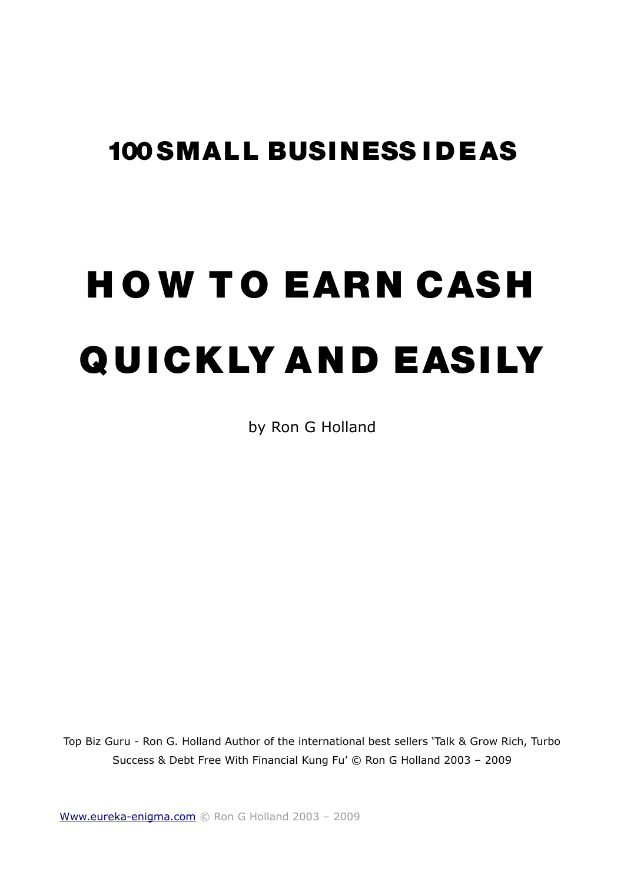# 100 SMALL BUS INESS I D EAS

# **HOW TO EARN CASH** QUICKLY AND EASILY

by Ron G Holland

Top Biz Guru - Ron G. Holland Author of the international best sellers 'Talk & Grow Rich, Turbo Success & Debt Free With Financial Kung Fu' © Ron G Holland 2003 – 2009

[Www.eureka-enigma.com](http://Www.eureka-enigma.com/) © Ron G Holland 2003 – 2009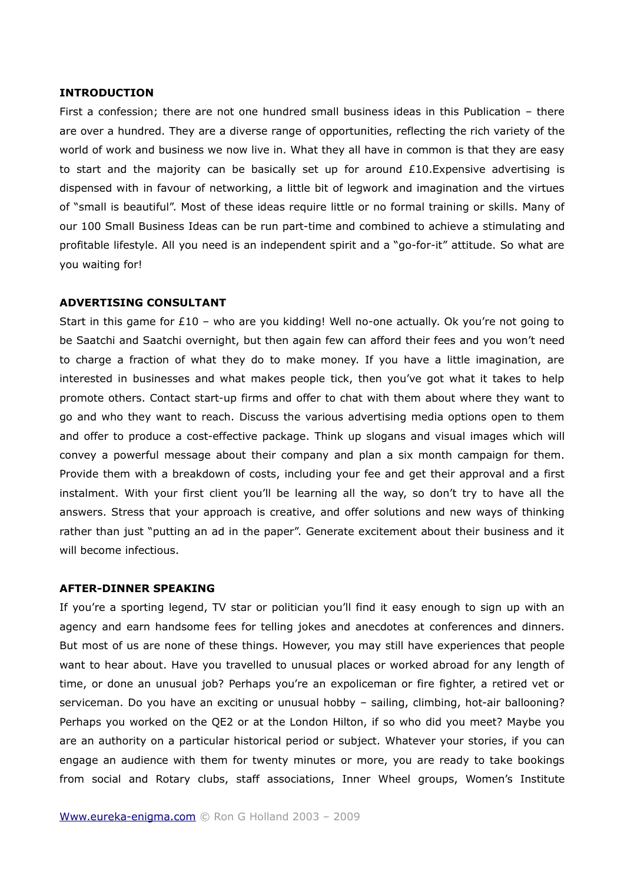# **INTRODUCTION**

First a confession; there are not one hundred small business ideas in this Publication – there are over a hundred. They are a diverse range of opportunities, reflecting the rich variety of the world of work and business we now live in. What they all have in common is that they are easy to start and the majority can be basically set up for around  $£10.Expensive$  advertising is dispensed with in favour of networking, a little bit of legwork and imagination and the virtues of "small is beautiful". Most of these ideas require little or no formal training or skills. Many of our 100 Small Business Ideas can be run part-time and combined to achieve a stimulating and profitable lifestyle. All you need is an independent spirit and a "go-for-it" attitude. So what are you waiting for!

#### **ADVERTISING CONSULTANT**

Start in this game for  $£10 -$  who are you kidding! Well no-one actually. Ok you're not going to be Saatchi and Saatchi overnight, but then again few can afford their fees and you won't need to charge a fraction of what they do to make money. If you have a little imagination, are interested in businesses and what makes people tick, then you've got what it takes to help promote others. Contact start-up firms and offer to chat with them about where they want to go and who they want to reach. Discuss the various advertising media options open to them and offer to produce a cost-effective package. Think up slogans and visual images which will convey a powerful message about their company and plan a six month campaign for them. Provide them with a breakdown of costs, including your fee and get their approval and a first instalment. With your first client you'll be learning all the way, so don't try to have all the answers. Stress that your approach is creative, and offer solutions and new ways of thinking rather than just "putting an ad in the paper". Generate excitement about their business and it will become infectious.

#### **AFTER-DINNER SPEAKING**

If you're a sporting legend, TV star or politician you'll find it easy enough to sign up with an agency and earn handsome fees for telling jokes and anecdotes at conferences and dinners. But most of us are none of these things. However, you may still have experiences that people want to hear about. Have you travelled to unusual places or worked abroad for any length of time, or done an unusual job? Perhaps you're an expoliceman or fire fighter, a retired vet or serviceman. Do you have an exciting or unusual hobby – sailing, climbing, hot-air ballooning? Perhaps you worked on the QE2 or at the London Hilton, if so who did you meet? Maybe you are an authority on a particular historical period or subject. Whatever your stories, if you can engage an audience with them for twenty minutes or more, you are ready to take bookings from social and Rotary clubs, staff associations, Inner Wheel groups, Women's Institute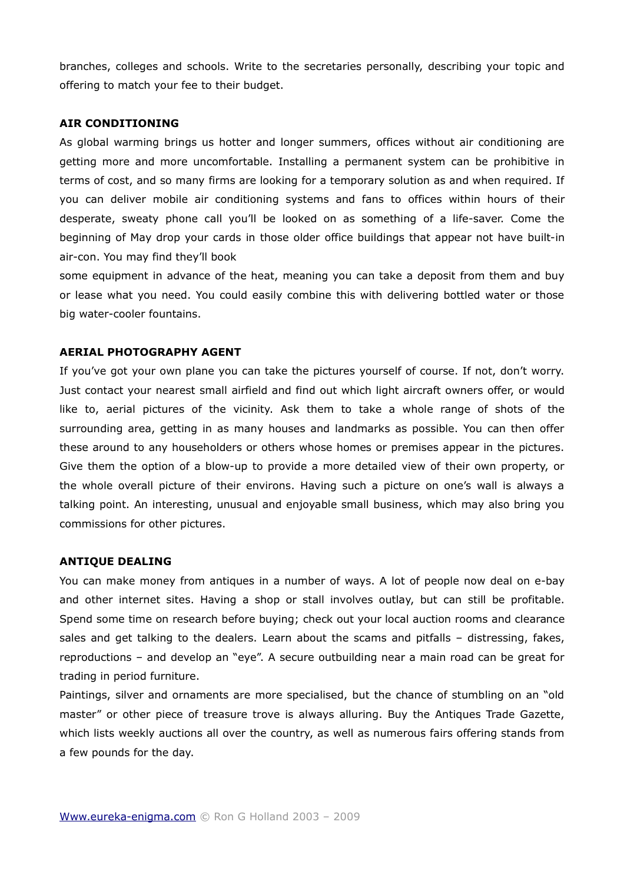branches, colleges and schools. Write to the secretaries personally, describing your topic and offering to match your fee to their budget.

# **AIR CONDITIONING**

As global warming brings us hotter and longer summers, offices without air conditioning are getting more and more uncomfortable. Installing a permanent system can be prohibitive in terms of cost, and so many firms are looking for a temporary solution as and when required. If you can deliver mobile air conditioning systems and fans to offices within hours of their desperate, sweaty phone call you'll be looked on as something of a life-saver. Come the beginning of May drop your cards in those older office buildings that appear not have built-in air-con. You may find they'll book

some equipment in advance of the heat, meaning you can take a deposit from them and buy or lease what you need. You could easily combine this with delivering bottled water or those big water-cooler fountains.

#### **AERIAL PHOTOGRAPHY AGENT**

If you've got your own plane you can take the pictures yourself of course. If not, don't worry. Just contact your nearest small airfield and find out which light aircraft owners offer, or would like to, aerial pictures of the vicinity. Ask them to take a whole range of shots of the surrounding area, getting in as many houses and landmarks as possible. You can then offer these around to any householders or others whose homes or premises appear in the pictures. Give them the option of a blow-up to provide a more detailed view of their own property, or the whole overall picture of their environs. Having such a picture on one's wall is always a talking point. An interesting, unusual and enjoyable small business, which may also bring you commissions for other pictures.

#### **ANTIQUE DEALING**

You can make money from antiques in a number of ways. A lot of people now deal on e-bay and other internet sites. Having a shop or stall involves outlay, but can still be profitable. Spend some time on research before buying; check out your local auction rooms and clearance sales and get talking to the dealers. Learn about the scams and pitfalls – distressing, fakes, reproductions – and develop an "eye". A secure outbuilding near a main road can be great for trading in period furniture.

Paintings, silver and ornaments are more specialised, but the chance of stumbling on an "old master" or other piece of treasure trove is always alluring. Buy the Antiques Trade Gazette, which lists weekly auctions all over the country, as well as numerous fairs offering stands from a few pounds for the day.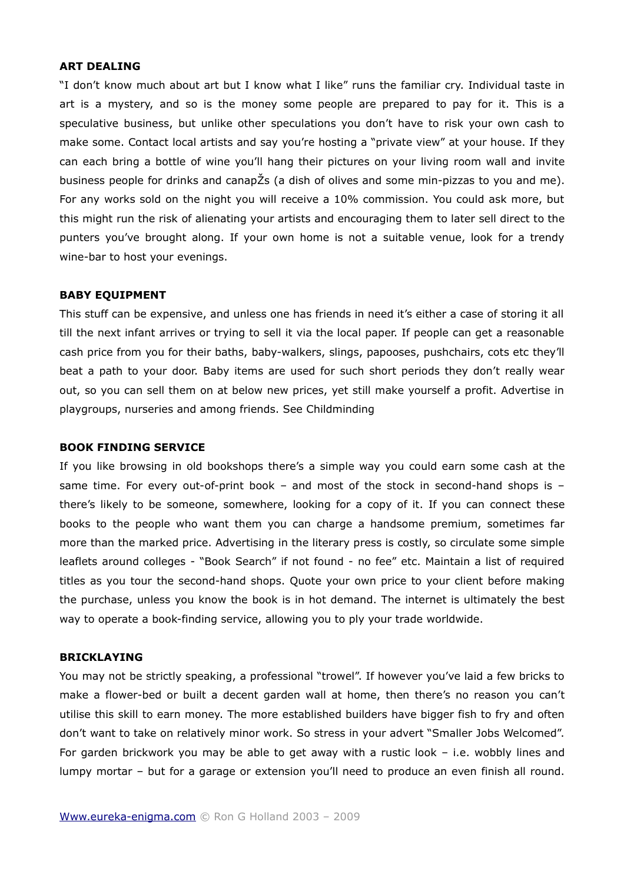# **ART DEALING**

"I don't know much about art but I know what I like" runs the familiar cry. Individual taste in art is a mystery, and so is the money some people are prepared to pay for it. This is a speculative business, but unlike other speculations you don't have to risk your own cash to make some. Contact local artists and say you're hosting a "private view" at your house. If they can each bring a bottle of wine you'll hang their pictures on your living room wall and invite business people for drinks and canapŽs (a dish of olives and some min-pizzas to you and me). For any works sold on the night you will receive a 10% commission. You could ask more, but this might run the risk of alienating your artists and encouraging them to later sell direct to the punters you've brought along. If your own home is not a suitable venue, look for a trendy wine-bar to host your evenings.

#### **BABY EQUIPMENT**

This stuff can be expensive, and unless one has friends in need it's either a case of storing it all till the next infant arrives or trying to sell it via the local paper. If people can get a reasonable cash price from you for their baths, baby-walkers, slings, papooses, pushchairs, cots etc they'll beat a path to your door. Baby items are used for such short periods they don't really wear out, so you can sell them on at below new prices, yet still make yourself a profit. Advertise in playgroups, nurseries and among friends. See Childminding

#### **BOOK FINDING SERVICE**

If you like browsing in old bookshops there's a simple way you could earn some cash at the same time. For every out-of-print book – and most of the stock in second-hand shops is – there's likely to be someone, somewhere, looking for a copy of it. If you can connect these books to the people who want them you can charge a handsome premium, sometimes far more than the marked price. Advertising in the literary press is costly, so circulate some simple leaflets around colleges - "Book Search" if not found - no fee" etc. Maintain a list of required titles as you tour the second-hand shops. Quote your own price to your client before making the purchase, unless you know the book is in hot demand. The internet is ultimately the best way to operate a book-finding service, allowing you to ply your trade worldwide.

#### **BRICKLAYING**

You may not be strictly speaking, a professional "trowel". If however you've laid a few bricks to make a flower-bed or built a decent garden wall at home, then there's no reason you can't utilise this skill to earn money. The more established builders have bigger fish to fry and often don't want to take on relatively minor work. So stress in your advert "Smaller Jobs Welcomed". For garden brickwork you may be able to get away with a rustic look – i.e. wobbly lines and lumpy mortar – but for a garage or extension you'll need to produce an even finish all round.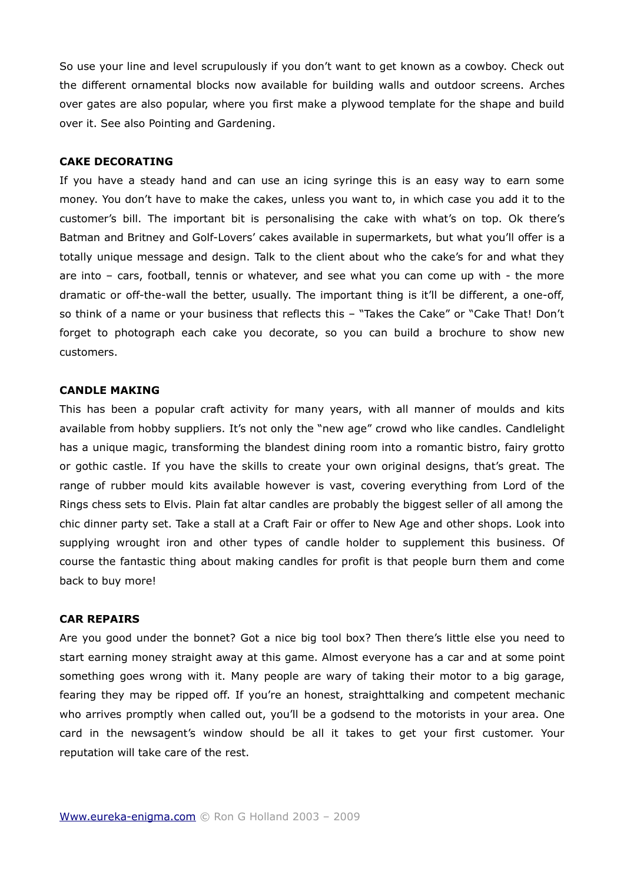So use your line and level scrupulously if you don't want to get known as a cowboy. Check out the different ornamental blocks now available for building walls and outdoor screens. Arches over gates are also popular, where you first make a plywood template for the shape and build over it. See also Pointing and Gardening.

#### **CAKE DECORATING**

If you have a steady hand and can use an icing syringe this is an easy way to earn some money. You don't have to make the cakes, unless you want to, in which case you add it to the customer's bill. The important bit is personalising the cake with what's on top. Ok there's Batman and Britney and Golf-Lovers' cakes available in supermarkets, but what you'll offer is a totally unique message and design. Talk to the client about who the cake's for and what they are into – cars, football, tennis or whatever, and see what you can come up with - the more dramatic or off-the-wall the better, usually. The important thing is it'll be different, a one-off, so think of a name or your business that reflects this – "Takes the Cake" or "Cake That! Don't forget to photograph each cake you decorate, so you can build a brochure to show new customers.

# **CANDLE MAKING**

This has been a popular craft activity for many years, with all manner of moulds and kits available from hobby suppliers. It's not only the "new age" crowd who like candles. Candlelight has a unique magic, transforming the blandest dining room into a romantic bistro, fairy grotto or gothic castle. If you have the skills to create your own original designs, that's great. The range of rubber mould kits available however is vast, covering everything from Lord of the Rings chess sets to Elvis. Plain fat altar candles are probably the biggest seller of all among the chic dinner party set. Take a stall at a Craft Fair or offer to New Age and other shops. Look into supplying wrought iron and other types of candle holder to supplement this business. Of course the fantastic thing about making candles for profit is that people burn them and come back to buy more!

#### **CAR REPAIRS**

Are you good under the bonnet? Got a nice big tool box? Then there's little else you need to start earning money straight away at this game. Almost everyone has a car and at some point something goes wrong with it. Many people are wary of taking their motor to a big garage, fearing they may be ripped off. If you're an honest, straighttalking and competent mechanic who arrives promptly when called out, you'll be a godsend to the motorists in your area. One card in the newsagent's window should be all it takes to get your first customer. Your reputation will take care of the rest.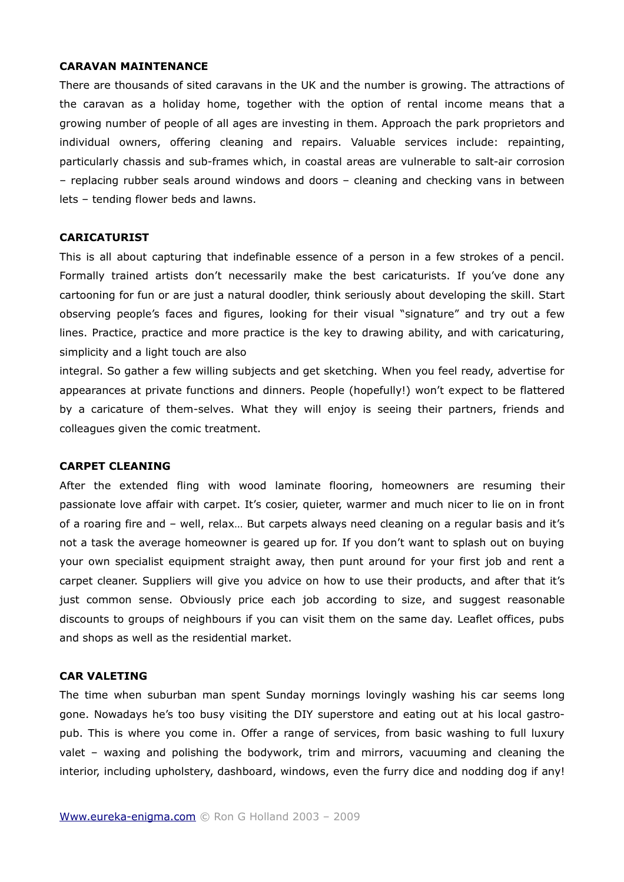### **CARAVAN MAINTENANCE**

There are thousands of sited caravans in the UK and the number is growing. The attractions of the caravan as a holiday home, together with the option of rental income means that a growing number of people of all ages are investing in them. Approach the park proprietors and individual owners, offering cleaning and repairs. Valuable services include: repainting, particularly chassis and sub-frames which, in coastal areas are vulnerable to salt-air corrosion – replacing rubber seals around windows and doors – cleaning and checking vans in between lets – tending flower beds and lawns.

# **CARICATURIST**

This is all about capturing that indefinable essence of a person in a few strokes of a pencil. Formally trained artists don't necessarily make the best caricaturists. If you've done any cartooning for fun or are just a natural doodler, think seriously about developing the skill. Start observing people's faces and figures, looking for their visual "signature" and try out a few lines. Practice, practice and more practice is the key to drawing ability, and with caricaturing, simplicity and a light touch are also

integral. So gather a few willing subjects and get sketching. When you feel ready, advertise for appearances at private functions and dinners. People (hopefully!) won't expect to be flattered by a caricature of them-selves. What they will enjoy is seeing their partners, friends and colleagues given the comic treatment.

# **CARPET CLEANING**

After the extended fling with wood laminate flooring, homeowners are resuming their passionate love affair with carpet. It's cosier, quieter, warmer and much nicer to lie on in front of a roaring fire and – well, relax… But carpets always need cleaning on a regular basis and it's not a task the average homeowner is geared up for. If you don't want to splash out on buying your own specialist equipment straight away, then punt around for your first job and rent a carpet cleaner. Suppliers will give you advice on how to use their products, and after that it's just common sense. Obviously price each job according to size, and suggest reasonable discounts to groups of neighbours if you can visit them on the same day. Leaflet offices, pubs and shops as well as the residential market.

#### **CAR VALETING**

The time when suburban man spent Sunday mornings lovingly washing his car seems long gone. Nowadays he's too busy visiting the DIY superstore and eating out at his local gastropub. This is where you come in. Offer a range of services, from basic washing to full luxury valet – waxing and polishing the bodywork, trim and mirrors, vacuuming and cleaning the interior, including upholstery, dashboard, windows, even the furry dice and nodding dog if any!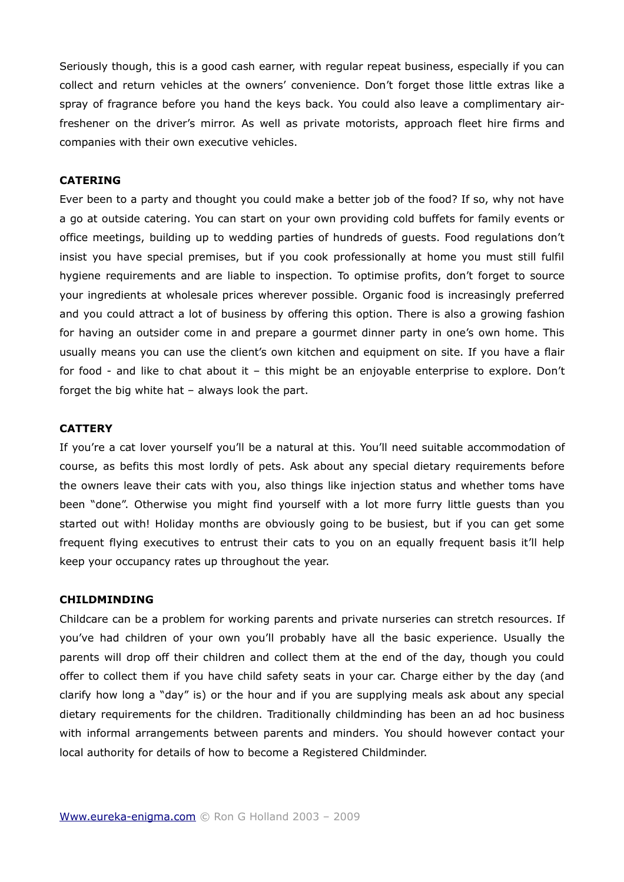Seriously though, this is a good cash earner, with regular repeat business, especially if you can collect and return vehicles at the owners' convenience. Don't forget those little extras like a spray of fragrance before you hand the keys back. You could also leave a complimentary airfreshener on the driver's mirror. As well as private motorists, approach fleet hire firms and companies with their own executive vehicles.

# **CATERING**

Ever been to a party and thought you could make a better job of the food? If so, why not have a go at outside catering. You can start on your own providing cold buffets for family events or office meetings, building up to wedding parties of hundreds of guests. Food regulations don't insist you have special premises, but if you cook professionally at home you must still fulfil hygiene requirements and are liable to inspection. To optimise profits, don't forget to source your ingredients at wholesale prices wherever possible. Organic food is increasingly preferred and you could attract a lot of business by offering this option. There is also a growing fashion for having an outsider come in and prepare a gourmet dinner party in one's own home. This usually means you can use the client's own kitchen and equipment on site. If you have a flair for food - and like to chat about it – this might be an enjoyable enterprise to explore. Don't forget the big white hat – always look the part.

#### **CATTERY**

If you're a cat lover yourself you'll be a natural at this. You'll need suitable accommodation of course, as befits this most lordly of pets. Ask about any special dietary requirements before the owners leave their cats with you, also things like injection status and whether toms have been "done". Otherwise you might find yourself with a lot more furry little guests than you started out with! Holiday months are obviously going to be busiest, but if you can get some frequent flying executives to entrust their cats to you on an equally frequent basis it'll help keep your occupancy rates up throughout the year.

#### **CHILDMINDING**

Childcare can be a problem for working parents and private nurseries can stretch resources. If you've had children of your own you'll probably have all the basic experience. Usually the parents will drop off their children and collect them at the end of the day, though you could offer to collect them if you have child safety seats in your car. Charge either by the day (and clarify how long a "day" is) or the hour and if you are supplying meals ask about any special dietary requirements for the children. Traditionally childminding has been an ad hoc business with informal arrangements between parents and minders. You should however contact your local authority for details of how to become a Registered Childminder.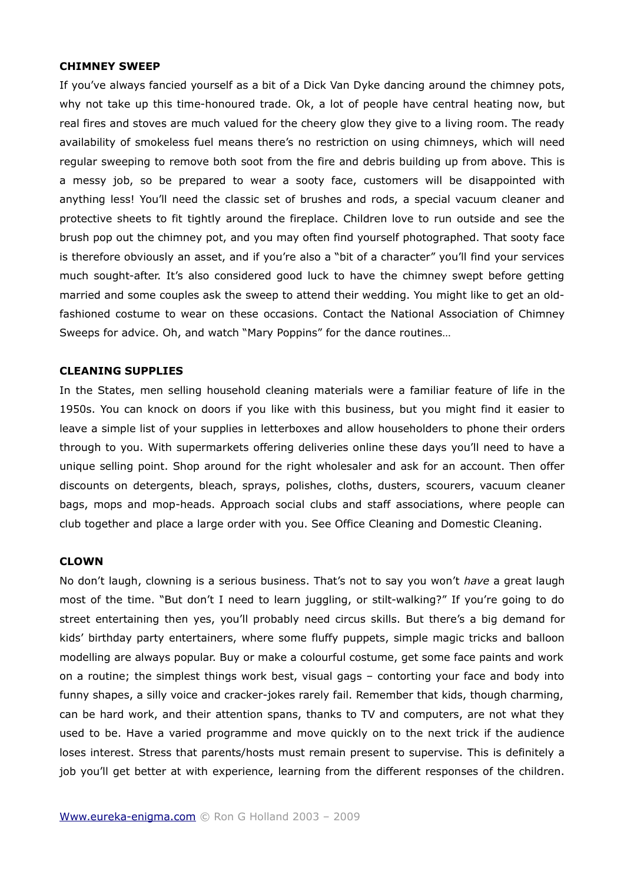#### **CHIMNEY SWEEP**

If you've always fancied yourself as a bit of a Dick Van Dyke dancing around the chimney pots, why not take up this time-honoured trade. Ok, a lot of people have central heating now, but real fires and stoves are much valued for the cheery glow they give to a living room. The ready availability of smokeless fuel means there's no restriction on using chimneys, which will need regular sweeping to remove both soot from the fire and debris building up from above. This is a messy job, so be prepared to wear a sooty face, customers will be disappointed with anything less! You'll need the classic set of brushes and rods, a special vacuum cleaner and protective sheets to fit tightly around the fireplace. Children love to run outside and see the brush pop out the chimney pot, and you may often find yourself photographed. That sooty face is therefore obviously an asset, and if you're also a "bit of a character" you'll find your services much sought-after. It's also considered good luck to have the chimney swept before getting married and some couples ask the sweep to attend their wedding. You might like to get an oldfashioned costume to wear on these occasions. Contact the National Association of Chimney Sweeps for advice. Oh, and watch "Mary Poppins" for the dance routines…

#### **CLEANING SUPPLIES**

In the States, men selling household cleaning materials were a familiar feature of life in the 1950s. You can knock on doors if you like with this business, but you might find it easier to leave a simple list of your supplies in letterboxes and allow householders to phone their orders through to you. With supermarkets offering deliveries online these days you'll need to have a unique selling point. Shop around for the right wholesaler and ask for an account. Then offer discounts on detergents, bleach, sprays, polishes, cloths, dusters, scourers, vacuum cleaner bags, mops and mop-heads. Approach social clubs and staff associations, where people can club together and place a large order with you. See Office Cleaning and Domestic Cleaning.

#### **CLOWN**

No don't laugh, clowning is a serious business. That's not to say you won't *have* a great laugh most of the time. "But don't I need to learn juggling, or stilt-walking?" If you're going to do street entertaining then yes, you'll probably need circus skills. But there's a big demand for kids' birthday party entertainers, where some fluffy puppets, simple magic tricks and balloon modelling are always popular. Buy or make a colourful costume, get some face paints and work on a routine; the simplest things work best, visual gags – contorting your face and body into funny shapes, a silly voice and cracker-jokes rarely fail. Remember that kids, though charming, can be hard work, and their attention spans, thanks to TV and computers, are not what they used to be. Have a varied programme and move quickly on to the next trick if the audience loses interest. Stress that parents/hosts must remain present to supervise. This is definitely a job you'll get better at with experience, learning from the different responses of the children.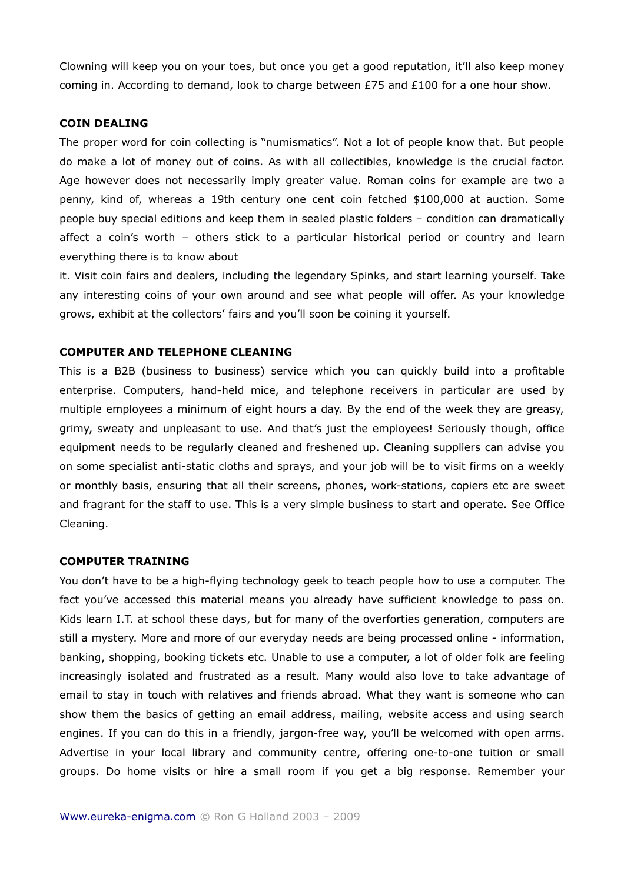Clowning will keep you on your toes, but once you get a good reputation, it'll also keep money coming in. According to demand, look to charge between £75 and £100 for a one hour show.

# **COIN DEALING**

The proper word for coin collecting is "numismatics". Not a lot of people know that. But people do make a lot of money out of coins. As with all collectibles, knowledge is the crucial factor. Age however does not necessarily imply greater value. Roman coins for example are two a penny, kind of, whereas a 19th century one cent coin fetched \$100,000 at auction. Some people buy special editions and keep them in sealed plastic folders – condition can dramatically affect a coin's worth – others stick to a particular historical period or country and learn everything there is to know about

it. Visit coin fairs and dealers, including the legendary Spinks, and start learning yourself. Take any interesting coins of your own around and see what people will offer. As your knowledge grows, exhibit at the collectors' fairs and you'll soon be coining it yourself.

#### **COMPUTER AND TELEPHONE CLEANING**

This is a B2B (business to business) service which you can quickly build into a profitable enterprise. Computers, hand-held mice, and telephone receivers in particular are used by multiple employees a minimum of eight hours a day. By the end of the week they are greasy, grimy, sweaty and unpleasant to use. And that's just the employees! Seriously though, office equipment needs to be regularly cleaned and freshened up. Cleaning suppliers can advise you on some specialist anti-static cloths and sprays, and your job will be to visit firms on a weekly or monthly basis, ensuring that all their screens, phones, work-stations, copiers etc are sweet and fragrant for the staff to use. This is a very simple business to start and operate. See Office Cleaning.

#### **COMPUTER TRAINING**

You don't have to be a high-flying technology geek to teach people how to use a computer. The fact you've accessed this material means you already have sufficient knowledge to pass on. Kids learn I.T. at school these days, but for many of the overforties generation, computers are still a mystery. More and more of our everyday needs are being processed online - information, banking, shopping, booking tickets etc. Unable to use a computer, a lot of older folk are feeling increasingly isolated and frustrated as a result. Many would also love to take advantage of email to stay in touch with relatives and friends abroad. What they want is someone who can show them the basics of getting an email address, mailing, website access and using search engines. If you can do this in a friendly, jargon-free way, you'll be welcomed with open arms. Advertise in your local library and community centre, offering one-to-one tuition or small groups. Do home visits or hire a small room if you get a big response. Remember your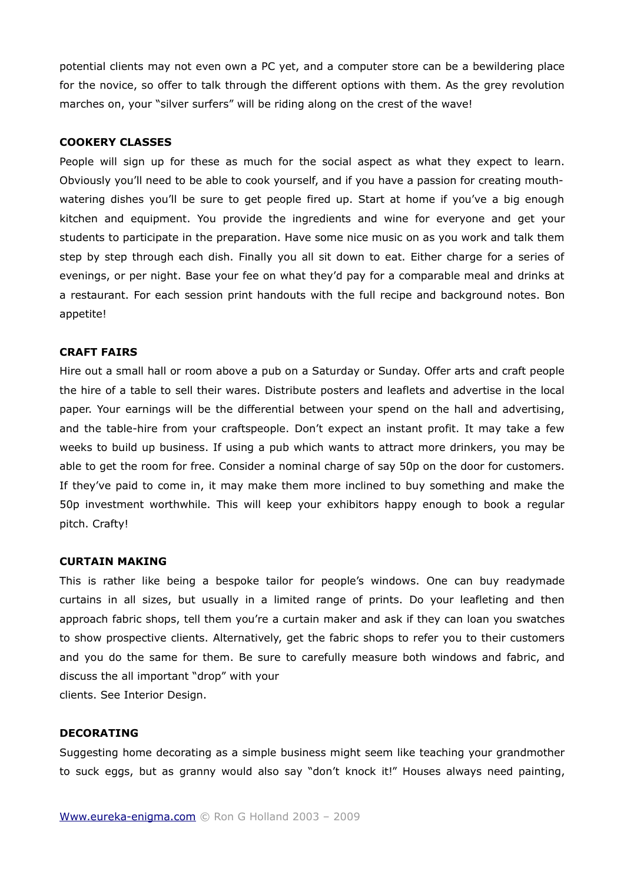potential clients may not even own a PC yet, and a computer store can be a bewildering place for the novice, so offer to talk through the different options with them. As the grey revolution marches on, your "silver surfers" will be riding along on the crest of the wave!

# **COOKERY CLASSES**

People will sign up for these as much for the social aspect as what they expect to learn. Obviously you'll need to be able to cook yourself, and if you have a passion for creating mouthwatering dishes you'll be sure to get people fired up. Start at home if you've a big enough kitchen and equipment. You provide the ingredients and wine for everyone and get your students to participate in the preparation. Have some nice music on as you work and talk them step by step through each dish. Finally you all sit down to eat. Either charge for a series of evenings, or per night. Base your fee on what they'd pay for a comparable meal and drinks at a restaurant. For each session print handouts with the full recipe and background notes. Bon appetite!

#### **CRAFT FAIRS**

Hire out a small hall or room above a pub on a Saturday or Sunday. Offer arts and craft people the hire of a table to sell their wares. Distribute posters and leaflets and advertise in the local paper. Your earnings will be the differential between your spend on the hall and advertising, and the table-hire from your craftspeople. Don't expect an instant profit. It may take a few weeks to build up business. If using a pub which wants to attract more drinkers, you may be able to get the room for free. Consider a nominal charge of say 50p on the door for customers. If they've paid to come in, it may make them more inclined to buy something and make the 50p investment worthwhile. This will keep your exhibitors happy enough to book a regular pitch. Crafty!

#### **CURTAIN MAKING**

This is rather like being a bespoke tailor for people's windows. One can buy readymade curtains in all sizes, but usually in a limited range of prints. Do your leafleting and then approach fabric shops, tell them you're a curtain maker and ask if they can loan you swatches to show prospective clients. Alternatively, get the fabric shops to refer you to their customers and you do the same for them. Be sure to carefully measure both windows and fabric, and discuss the all important "drop" with your

clients. See Interior Design.

# **DECORATING**

Suggesting home decorating as a simple business might seem like teaching your grandmother to suck eggs, but as granny would also say "don't knock it!" Houses always need painting,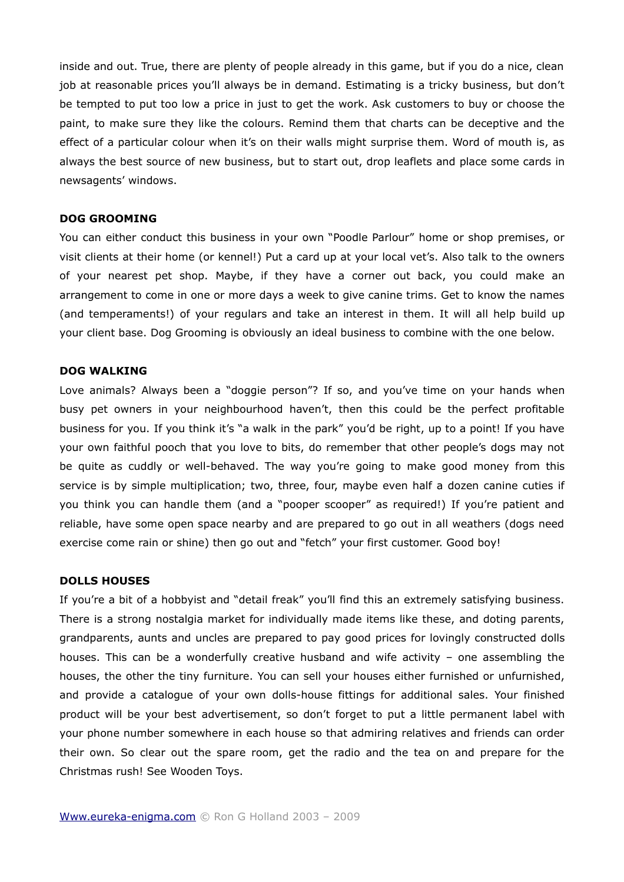inside and out. True, there are plenty of people already in this game, but if you do a nice, clean job at reasonable prices you'll always be in demand. Estimating is a tricky business, but don't be tempted to put too low a price in just to get the work. Ask customers to buy or choose the paint, to make sure they like the colours. Remind them that charts can be deceptive and the effect of a particular colour when it's on their walls might surprise them. Word of mouth is, as always the best source of new business, but to start out, drop leaflets and place some cards in newsagents' windows.

#### **DOG GROOMING**

You can either conduct this business in your own "Poodle Parlour" home or shop premises, or visit clients at their home (or kennel!) Put a card up at your local vet's. Also talk to the owners of your nearest pet shop. Maybe, if they have a corner out back, you could make an arrangement to come in one or more days a week to give canine trims. Get to know the names (and temperaments!) of your regulars and take an interest in them. It will all help build up your client base. Dog Grooming is obviously an ideal business to combine with the one below.

#### **DOG WALKING**

Love animals? Always been a "doggie person"? If so, and you've time on your hands when busy pet owners in your neighbourhood haven't, then this could be the perfect profitable business for you. If you think it's "a walk in the park" you'd be right, up to a point! If you have your own faithful pooch that you love to bits, do remember that other people's dogs may not be quite as cuddly or well-behaved. The way you're going to make good money from this service is by simple multiplication; two, three, four, maybe even half a dozen canine cuties if you think you can handle them (and a "pooper scooper" as required!) If you're patient and reliable, have some open space nearby and are prepared to go out in all weathers (dogs need exercise come rain or shine) then go out and "fetch" your first customer. Good boy!

# **DOLLS HOUSES**

If you're a bit of a hobbyist and "detail freak" you'll find this an extremely satisfying business. There is a strong nostalgia market for individually made items like these, and doting parents, grandparents, aunts and uncles are prepared to pay good prices for lovingly constructed dolls houses. This can be a wonderfully creative husband and wife activity – one assembling the houses, the other the tiny furniture. You can sell your houses either furnished or unfurnished, and provide a catalogue of your own dolls-house fittings for additional sales. Your finished product will be your best advertisement, so don't forget to put a little permanent label with your phone number somewhere in each house so that admiring relatives and friends can order their own. So clear out the spare room, get the radio and the tea on and prepare for the Christmas rush! See Wooden Toys.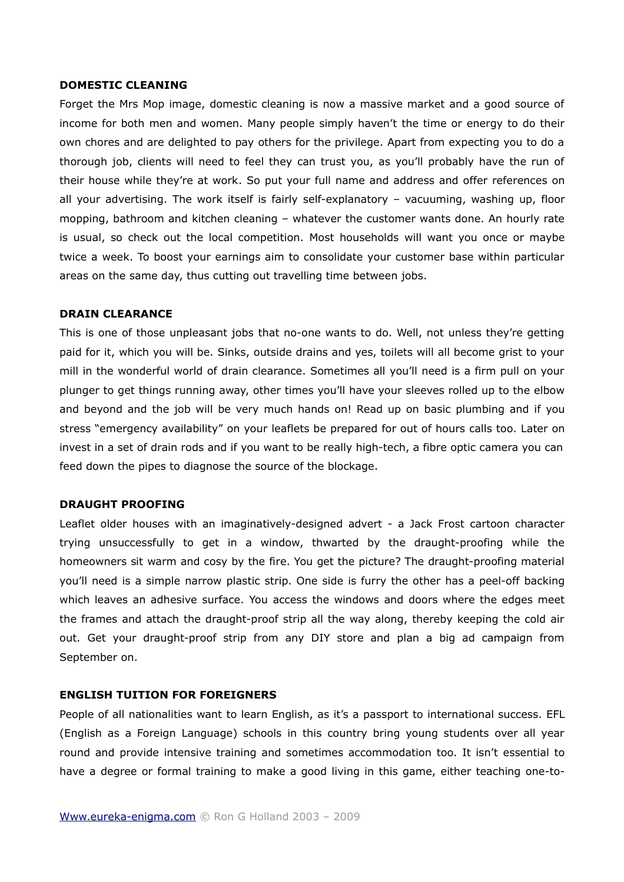#### **DOMESTIC CLEANING**

Forget the Mrs Mop image, domestic cleaning is now a massive market and a good source of income for both men and women. Many people simply haven't the time or energy to do their own chores and are delighted to pay others for the privilege. Apart from expecting you to do a thorough job, clients will need to feel they can trust you, as you'll probably have the run of their house while they're at work. So put your full name and address and offer references on all your advertising. The work itself is fairly self-explanatory – vacuuming, washing up, floor mopping, bathroom and kitchen cleaning – whatever the customer wants done. An hourly rate is usual, so check out the local competition. Most households will want you once or maybe twice a week. To boost your earnings aim to consolidate your customer base within particular areas on the same day, thus cutting out travelling time between jobs.

# **DRAIN CLEARANCE**

This is one of those unpleasant jobs that no-one wants to do. Well, not unless they're getting paid for it, which you will be. Sinks, outside drains and yes, toilets will all become grist to your mill in the wonderful world of drain clearance. Sometimes all you'll need is a firm pull on your plunger to get things running away, other times you'll have your sleeves rolled up to the elbow and beyond and the job will be very much hands on! Read up on basic plumbing and if you stress "emergency availability" on your leaflets be prepared for out of hours calls too. Later on invest in a set of drain rods and if you want to be really high-tech, a fibre optic camera you can feed down the pipes to diagnose the source of the blockage.

# **DRAUGHT PROOFING**

Leaflet older houses with an imaginatively-designed advert - a Jack Frost cartoon character trying unsuccessfully to get in a window, thwarted by the draught-proofing while the homeowners sit warm and cosy by the fire. You get the picture? The draught-proofing material you'll need is a simple narrow plastic strip. One side is furry the other has a peel-off backing which leaves an adhesive surface. You access the windows and doors where the edges meet the frames and attach the draught-proof strip all the way along, thereby keeping the cold air out. Get your draught-proof strip from any DIY store and plan a big ad campaign from September on.

# **ENGLISH TUITION FOR FOREIGNERS**

People of all nationalities want to learn English, as it's a passport to international success. EFL (English as a Foreign Language) schools in this country bring young students over all year round and provide intensive training and sometimes accommodation too. It isn't essential to have a degree or formal training to make a good living in this game, either teaching one-to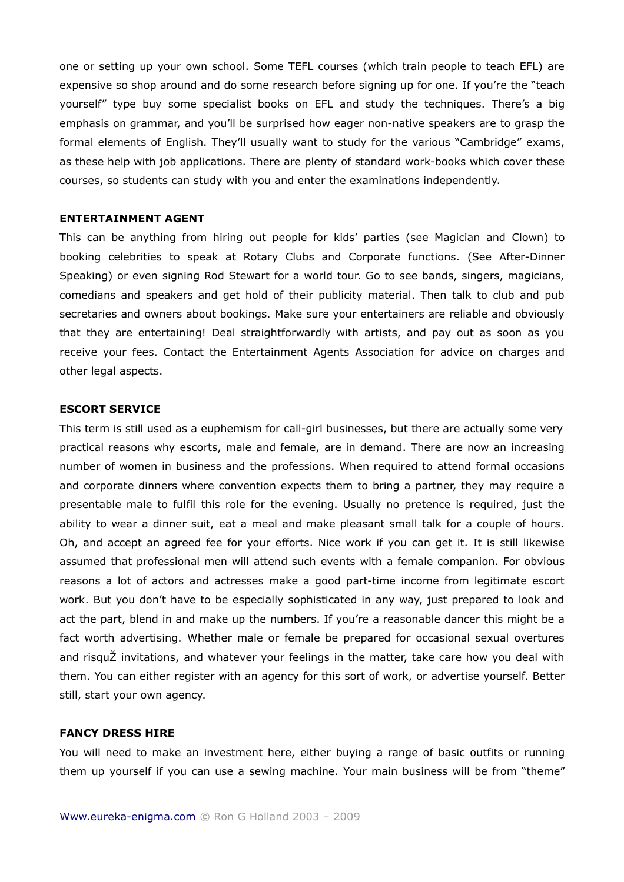one or setting up your own school. Some TEFL courses (which train people to teach EFL) are expensive so shop around and do some research before signing up for one. If you're the "teach yourself" type buy some specialist books on EFL and study the techniques. There's a big emphasis on grammar, and you'll be surprised how eager non-native speakers are to grasp the formal elements of English. They'll usually want to study for the various "Cambridge" exams, as these help with job applications. There are plenty of standard work-books which cover these courses, so students can study with you and enter the examinations independently.

# **ENTERTAINMENT AGENT**

This can be anything from hiring out people for kids' parties (see Magician and Clown) to booking celebrities to speak at Rotary Clubs and Corporate functions. (See After-Dinner Speaking) or even signing Rod Stewart for a world tour. Go to see bands, singers, magicians, comedians and speakers and get hold of their publicity material. Then talk to club and pub secretaries and owners about bookings. Make sure your entertainers are reliable and obviously that they are entertaining! Deal straightforwardly with artists, and pay out as soon as you receive your fees. Contact the Entertainment Agents Association for advice on charges and other legal aspects.

# **ESCORT SERVICE**

This term is still used as a euphemism for call-girl businesses, but there are actually some very practical reasons why escorts, male and female, are in demand. There are now an increasing number of women in business and the professions. When required to attend formal occasions and corporate dinners where convention expects them to bring a partner, they may require a presentable male to fulfil this role for the evening. Usually no pretence is required, just the ability to wear a dinner suit, eat a meal and make pleasant small talk for a couple of hours. Oh, and accept an agreed fee for your efforts. Nice work if you can get it. It is still likewise assumed that professional men will attend such events with a female companion. For obvious reasons a lot of actors and actresses make a good part-time income from legitimate escort work. But you don't have to be especially sophisticated in any way, just prepared to look and act the part, blend in and make up the numbers. If you're a reasonable dancer this might be a fact worth advertising. Whether male or female be prepared for occasional sexual overtures and risquŽ invitations, and whatever your feelings in the matter, take care how you deal with them. You can either register with an agency for this sort of work, or advertise yourself. Better still, start your own agency.

#### **FANCY DRESS HIRE**

You will need to make an investment here, either buying a range of basic outfits or running them up yourself if you can use a sewing machine. Your main business will be from "theme"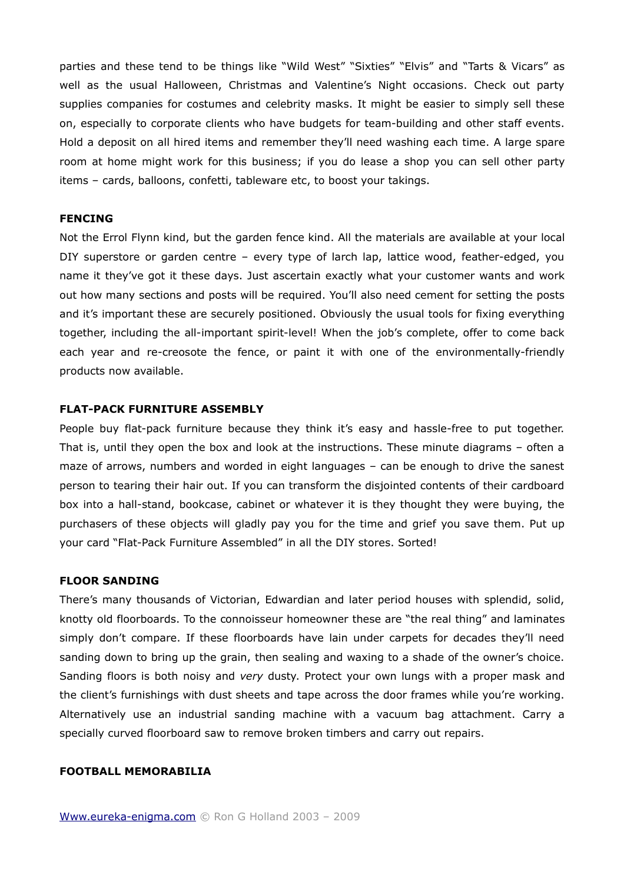parties and these tend to be things like "Wild West" "Sixties" "Elvis" and "Tarts & Vicars" as well as the usual Halloween, Christmas and Valentine's Night occasions. Check out party supplies companies for costumes and celebrity masks. It might be easier to simply sell these on, especially to corporate clients who have budgets for team-building and other staff events. Hold a deposit on all hired items and remember they'll need washing each time. A large spare room at home might work for this business; if you do lease a shop you can sell other party items – cards, balloons, confetti, tableware etc, to boost your takings.

# **FENCING**

Not the Errol Flynn kind, but the garden fence kind. All the materials are available at your local DIY superstore or garden centre – every type of larch lap, lattice wood, feather-edged, you name it they've got it these days. Just ascertain exactly what your customer wants and work out how many sections and posts will be required. You'll also need cement for setting the posts and it's important these are securely positioned. Obviously the usual tools for fixing everything together, including the all-important spirit-level! When the job's complete, offer to come back each year and re-creosote the fence, or paint it with one of the environmentally-friendly products now available.

# **FLAT-PACK FURNITURE ASSEMBLY**

People buy flat-pack furniture because they think it's easy and hassle-free to put together. That is, until they open the box and look at the instructions. These minute diagrams – often a maze of arrows, numbers and worded in eight languages – can be enough to drive the sanest person to tearing their hair out. If you can transform the disjointed contents of their cardboard box into a hall-stand, bookcase, cabinet or whatever it is they thought they were buying, the purchasers of these objects will gladly pay you for the time and grief you save them. Put up your card "Flat-Pack Furniture Assembled" in all the DIY stores. Sorted!

#### **FLOOR SANDING**

There's many thousands of Victorian, Edwardian and later period houses with splendid, solid, knotty old floorboards. To the connoisseur homeowner these are "the real thing" and laminates simply don't compare. If these floorboards have lain under carpets for decades they'll need sanding down to bring up the grain, then sealing and waxing to a shade of the owner's choice. Sanding floors is both noisy and *very* dusty. Protect your own lungs with a proper mask and the client's furnishings with dust sheets and tape across the door frames while you're working. Alternatively use an industrial sanding machine with a vacuum bag attachment. Carry a specially curved floorboard saw to remove broken timbers and carry out repairs.

#### **FOOTBALL MEMORABILIA**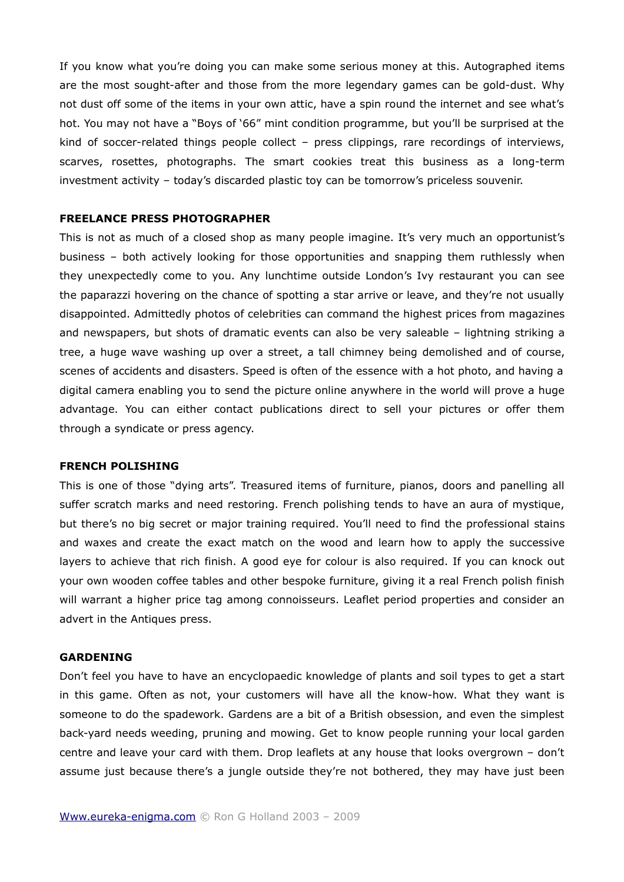If you know what you're doing you can make some serious money at this. Autographed items are the most sought-after and those from the more legendary games can be gold-dust. Why not dust off some of the items in your own attic, have a spin round the internet and see what's hot. You may not have a "Boys of '66" mint condition programme, but you'll be surprised at the kind of soccer-related things people collect – press clippings, rare recordings of interviews, scarves, rosettes, photographs. The smart cookies treat this business as a long-term investment activity – today's discarded plastic toy can be tomorrow's priceless souvenir.

# **FREELANCE PRESS PHOTOGRAPHER**

This is not as much of a closed shop as many people imagine. It's very much an opportunist's business – both actively looking for those opportunities and snapping them ruthlessly when they unexpectedly come to you. Any lunchtime outside London's Ivy restaurant you can see the paparazzi hovering on the chance of spotting a star arrive or leave, and they're not usually disappointed. Admittedly photos of celebrities can command the highest prices from magazines and newspapers, but shots of dramatic events can also be very saleable – lightning striking a tree, a huge wave washing up over a street, a tall chimney being demolished and of course, scenes of accidents and disasters. Speed is often of the essence with a hot photo, and having a digital camera enabling you to send the picture online anywhere in the world will prove a huge advantage. You can either contact publications direct to sell your pictures or offer them through a syndicate or press agency.

# **FRENCH POLISHING**

This is one of those "dying arts". Treasured items of furniture, pianos, doors and panelling all suffer scratch marks and need restoring. French polishing tends to have an aura of mystique, but there's no big secret or major training required. You'll need to find the professional stains and waxes and create the exact match on the wood and learn how to apply the successive layers to achieve that rich finish. A good eye for colour is also required. If you can knock out your own wooden coffee tables and other bespoke furniture, giving it a real French polish finish will warrant a higher price tag among connoisseurs. Leaflet period properties and consider an advert in the Antiques press.

#### **GARDENING**

Don't feel you have to have an encyclopaedic knowledge of plants and soil types to get a start in this game. Often as not, your customers will have all the know-how. What they want is someone to do the spadework. Gardens are a bit of a British obsession, and even the simplest back-yard needs weeding, pruning and mowing. Get to know people running your local garden centre and leave your card with them. Drop leaflets at any house that looks overgrown – don't assume just because there's a jungle outside they're not bothered, they may have just been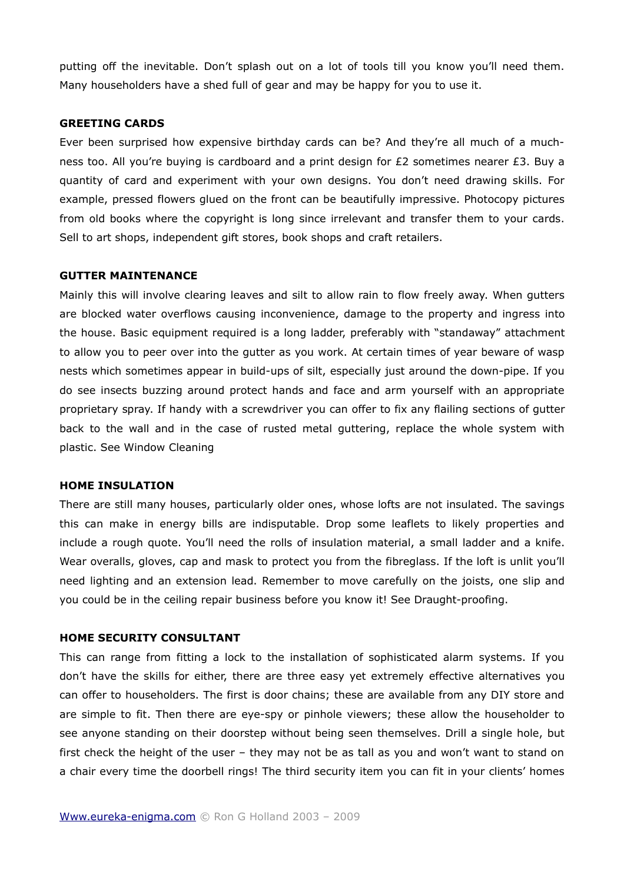putting off the inevitable. Don't splash out on a lot of tools till you know you'll need them. Many householders have a shed full of gear and may be happy for you to use it.

# **GREETING CARDS**

Ever been surprised how expensive birthday cards can be? And they're all much of a muchness too. All you're buying is cardboard and a print design for  $E2$  sometimes nearer  $E3$ . Buy a quantity of card and experiment with your own designs. You don't need drawing skills. For example, pressed flowers glued on the front can be beautifully impressive. Photocopy pictures from old books where the copyright is long since irrelevant and transfer them to your cards. Sell to art shops, independent gift stores, book shops and craft retailers.

#### **GUTTER MAINTENANCE**

Mainly this will involve clearing leaves and silt to allow rain to flow freely away. When gutters are blocked water overflows causing inconvenience, damage to the property and ingress into the house. Basic equipment required is a long ladder, preferably with "standaway" attachment to allow you to peer over into the gutter as you work. At certain times of year beware of wasp nests which sometimes appear in build-ups of silt, especially just around the down-pipe. If you do see insects buzzing around protect hands and face and arm yourself with an appropriate proprietary spray. If handy with a screwdriver you can offer to fix any flailing sections of gutter back to the wall and in the case of rusted metal guttering, replace the whole system with plastic. See Window Cleaning

#### **HOME INSULATION**

There are still many houses, particularly older ones, whose lofts are not insulated. The savings this can make in energy bills are indisputable. Drop some leaflets to likely properties and include a rough quote. You'll need the rolls of insulation material, a small ladder and a knife. Wear overalls, gloves, cap and mask to protect you from the fibreglass. If the loft is unlit you'll need lighting and an extension lead. Remember to move carefully on the joists, one slip and you could be in the ceiling repair business before you know it! See Draught-proofing.

### **HOME SECURITY CONSULTANT**

This can range from fitting a lock to the installation of sophisticated alarm systems. If you don't have the skills for either, there are three easy yet extremely effective alternatives you can offer to householders. The first is door chains; these are available from any DIY store and are simple to fit. Then there are eye-spy or pinhole viewers; these allow the householder to see anyone standing on their doorstep without being seen themselves. Drill a single hole, but first check the height of the user – they may not be as tall as you and won't want to stand on a chair every time the doorbell rings! The third security item you can fit in your clients' homes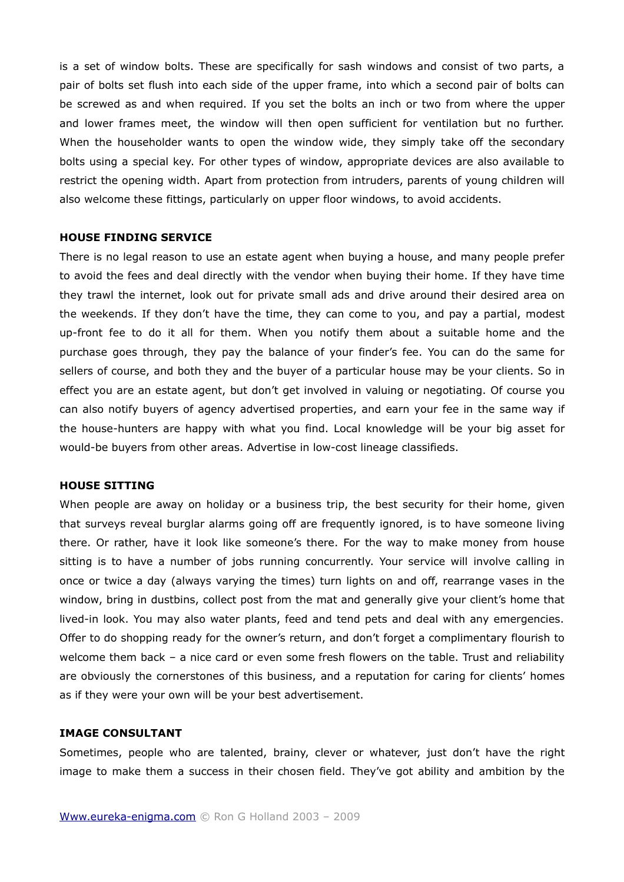is a set of window bolts. These are specifically for sash windows and consist of two parts, a pair of bolts set flush into each side of the upper frame, into which a second pair of bolts can be screwed as and when required. If you set the bolts an inch or two from where the upper and lower frames meet, the window will then open sufficient for ventilation but no further. When the householder wants to open the window wide, they simply take off the secondary bolts using a special key. For other types of window, appropriate devices are also available to restrict the opening width. Apart from protection from intruders, parents of young children will also welcome these fittings, particularly on upper floor windows, to avoid accidents.

# **HOUSE FINDING SERVICE**

There is no legal reason to use an estate agent when buying a house, and many people prefer to avoid the fees and deal directly with the vendor when buying their home. If they have time they trawl the internet, look out for private small ads and drive around their desired area on the weekends. If they don't have the time, they can come to you, and pay a partial, modest up-front fee to do it all for them. When you notify them about a suitable home and the purchase goes through, they pay the balance of your finder's fee. You can do the same for sellers of course, and both they and the buyer of a particular house may be your clients. So in effect you are an estate agent, but don't get involved in valuing or negotiating. Of course you can also notify buyers of agency advertised properties, and earn your fee in the same way if the house-hunters are happy with what you find. Local knowledge will be your big asset for would-be buyers from other areas. Advertise in low-cost lineage classifieds.

#### **HOUSE SITTING**

When people are away on holiday or a business trip, the best security for their home, given that surveys reveal burglar alarms going off are frequently ignored, is to have someone living there. Or rather, have it look like someone's there. For the way to make money from house sitting is to have a number of jobs running concurrently. Your service will involve calling in once or twice a day (always varying the times) turn lights on and off, rearrange vases in the window, bring in dustbins, collect post from the mat and generally give your client's home that lived-in look. You may also water plants, feed and tend pets and deal with any emergencies. Offer to do shopping ready for the owner's return, and don't forget a complimentary flourish to welcome them back – a nice card or even some fresh flowers on the table. Trust and reliability are obviously the cornerstones of this business, and a reputation for caring for clients' homes as if they were your own will be your best advertisement.

# **IMAGE CONSULTANT**

Sometimes, people who are talented, brainy, clever or whatever, just don't have the right image to make them a success in their chosen field. They've got ability and ambition by the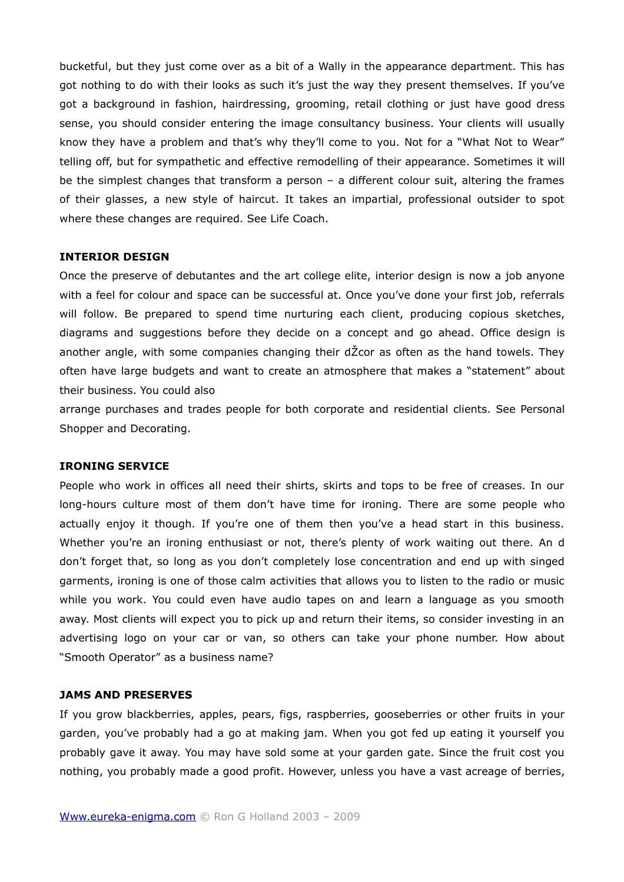bucketful, but they just come over as a bit of a Wally in the appearance department. This has got nothing to do with their looks as such it's just the way they present themselves. If you've got a background in fashion, hairdressing, grooming, retail clothing or just have good dress sense, you should consider entering the image consultancy business. Your clients will usually know they have a problem and that's why they'll come to you. Not for a "What Not to Wear" telling off, but for sympathetic and effective remodelling of their appearance. Sometimes it will be the simplest changes that transform a person – a different colour suit, altering the frames of their glasses, a new style of haircut. It takes an impartial, professional outsider to spot where these changes are required. See Life Coach.

# **INTERIOR DESIGN**

Once the preserve of debutantes and the art college elite, interior design is now a job anyone with a feel for colour and space can be successful at. Once you've done your first job, referrals will follow. Be prepared to spend time nurturing each client, producing copious sketches, diagrams and suggestions before they decide on a concept and go ahead. Office design is another angle, with some companies changing their dŽcor as often as the hand towels. They often have large budgets and want to create an atmosphere that makes a "statement" about their business. You could also

arrange purchases and trades people for both corporate and residential clients. See Personal Shopper and Decorating.

# **IRONING SERVICE**

People who work in offices all need their shirts, skirts and tops to be free of creases. In our long-hours culture most of them don't have time for ironing. There are some people who actually enjoy it though. If you're one of them then you've a head start in this business. Whether you're an ironing enthusiast or not, there's plenty of work waiting out there. An d don't forget that, so long as you don't completely lose concentration and end up with singed garments, ironing is one of those calm activities that allows you to listen to the radio or music while you work. You could even have audio tapes on and learn a language as you smooth away. Most clients will expect you to pick up and return their items, so consider investing in an advertising logo on your car or van, so others can take your phone number. How about "Smooth Operator" as a business name?

# **JAMS AND PRESERVES**

If you grow blackberries, apples, pears, figs, raspberries, gooseberries or other fruits in your garden, you've probably had a go at making jam. When you got fed up eating it yourself you probably gave it away. You may have sold some at your garden gate. Since the fruit cost you nothing, you probably made a good profit. However, unless you have a vast acreage of berries,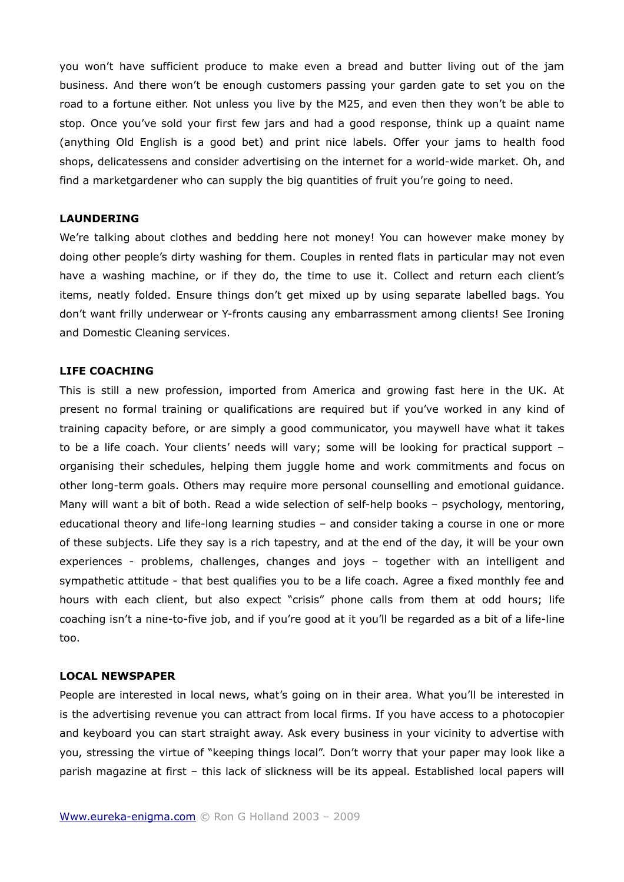you won't have sufficient produce to make even a bread and butter living out of the jam business. And there won't be enough customers passing your garden gate to set you on the road to a fortune either. Not unless you live by the M25, and even then they won't be able to stop. Once you've sold your first few jars and had a good response, think up a quaint name (anything Old English is a good bet) and print nice labels. Offer your jams to health food shops, delicatessens and consider advertising on the internet for a world-wide market. Oh, and find a marketgardener who can supply the big quantities of fruit you're going to need.

# **LAUNDERING**

We're talking about clothes and bedding here not money! You can however make money by doing other people's dirty washing for them. Couples in rented flats in particular may not even have a washing machine, or if they do, the time to use it. Collect and return each client's items, neatly folded. Ensure things don't get mixed up by using separate labelled bags. You don't want frilly underwear or Y-fronts causing any embarrassment among clients! See Ironing and Domestic Cleaning services.

#### **LIFE COACHING**

This is still a new profession, imported from America and growing fast here in the UK. At present no formal training or qualifications are required but if you've worked in any kind of training capacity before, or are simply a good communicator, you maywell have what it takes to be a life coach. Your clients' needs will vary; some will be looking for practical support – organising their schedules, helping them juggle home and work commitments and focus on other long-term goals. Others may require more personal counselling and emotional guidance. Many will want a bit of both. Read a wide selection of self-help books – psychology, mentoring, educational theory and life-long learning studies – and consider taking a course in one or more of these subjects. Life they say is a rich tapestry, and at the end of the day, it will be your own experiences - problems, challenges, changes and joys – together with an intelligent and sympathetic attitude - that best qualifies you to be a life coach. Agree a fixed monthly fee and hours with each client, but also expect "crisis" phone calls from them at odd hours; life coaching isn't a nine-to-five job, and if you're good at it you'll be regarded as a bit of a life-line too.

#### **LOCAL NEWSPAPER**

People are interested in local news, what's going on in their area. What you'll be interested in is the advertising revenue you can attract from local firms. If you have access to a photocopier and keyboard you can start straight away. Ask every business in your vicinity to advertise with you, stressing the virtue of "keeping things local". Don't worry that your paper may look like a parish magazine at first – this lack of slickness will be its appeal. Established local papers will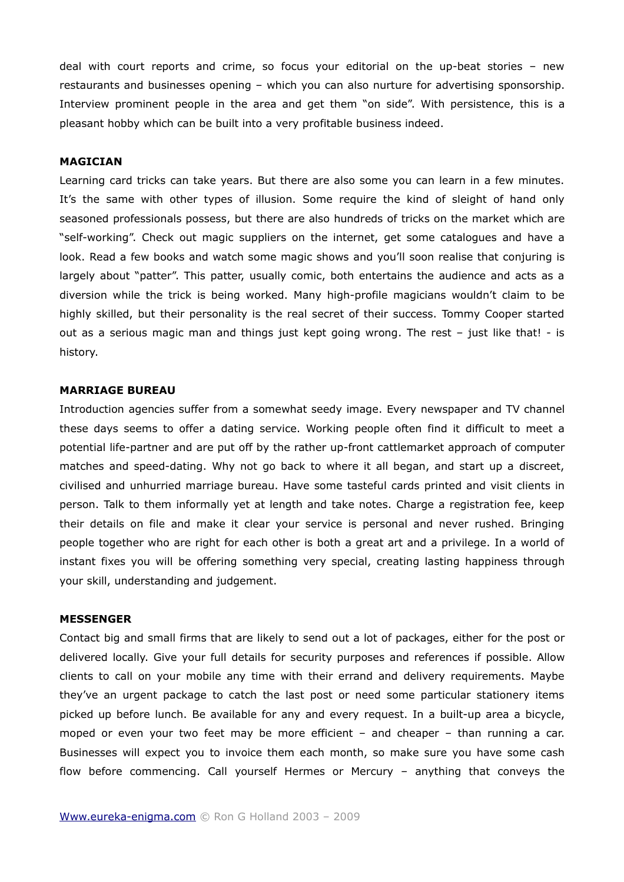deal with court reports and crime, so focus your editorial on the up-beat stories – new restaurants and businesses opening – which you can also nurture for advertising sponsorship. Interview prominent people in the area and get them "on side". With persistence, this is a pleasant hobby which can be built into a very profitable business indeed.

#### **MAGICIAN**

Learning card tricks can take years. But there are also some you can learn in a few minutes. It's the same with other types of illusion. Some require the kind of sleight of hand only seasoned professionals possess, but there are also hundreds of tricks on the market which are "self-working". Check out magic suppliers on the internet, get some catalogues and have a look. Read a few books and watch some magic shows and you'll soon realise that conjuring is largely about "patter". This patter, usually comic, both entertains the audience and acts as a diversion while the trick is being worked. Many high-profile magicians wouldn't claim to be highly skilled, but their personality is the real secret of their success. Tommy Cooper started out as a serious magic man and things just kept going wrong. The rest - just like that! - is history.

#### **MARRIAGE BUREAU**

Introduction agencies suffer from a somewhat seedy image. Every newspaper and TV channel these days seems to offer a dating service. Working people often find it difficult to meet a potential life-partner and are put off by the rather up-front cattlemarket approach of computer matches and speed-dating. Why not go back to where it all began, and start up a discreet, civilised and unhurried marriage bureau. Have some tasteful cards printed and visit clients in person. Talk to them informally yet at length and take notes. Charge a registration fee, keep their details on file and make it clear your service is personal and never rushed. Bringing people together who are right for each other is both a great art and a privilege. In a world of instant fixes you will be offering something very special, creating lasting happiness through your skill, understanding and judgement.

#### **MESSENGER**

Contact big and small firms that are likely to send out a lot of packages, either for the post or delivered locally. Give your full details for security purposes and references if possible. Allow clients to call on your mobile any time with their errand and delivery requirements. Maybe they've an urgent package to catch the last post or need some particular stationery items picked up before lunch. Be available for any and every request. In a built-up area a bicycle, moped or even your two feet may be more efficient – and cheaper – than running a car. Businesses will expect you to invoice them each month, so make sure you have some cash flow before commencing. Call yourself Hermes or Mercury – anything that conveys the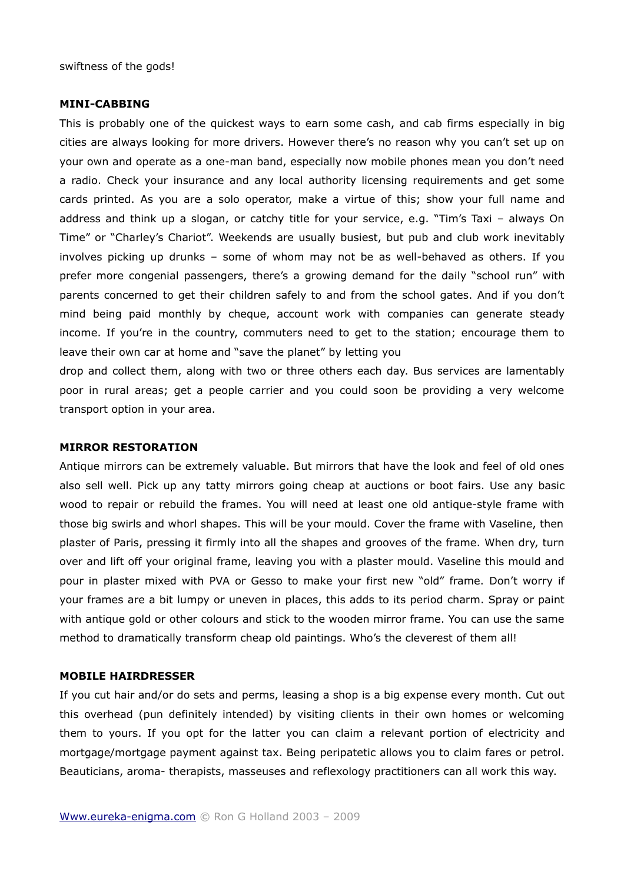swiftness of the gods!

### **MINI-CABBING**

This is probably one of the quickest ways to earn some cash, and cab firms especially in big cities are always looking for more drivers. However there's no reason why you can't set up on your own and operate as a one-man band, especially now mobile phones mean you don't need a radio. Check your insurance and any local authority licensing requirements and get some cards printed. As you are a solo operator, make a virtue of this; show your full name and address and think up a slogan, or catchy title for your service, e.g. "Tim's Taxi – always On Time" or "Charley's Chariot". Weekends are usually busiest, but pub and club work inevitably involves picking up drunks – some of whom may not be as well-behaved as others. If you prefer more congenial passengers, there's a growing demand for the daily "school run" with parents concerned to get their children safely to and from the school gates. And if you don't mind being paid monthly by cheque, account work with companies can generate steady income. If you're in the country, commuters need to get to the station; encourage them to leave their own car at home and "save the planet" by letting you

drop and collect them, along with two or three others each day. Bus services are lamentably poor in rural areas; get a people carrier and you could soon be providing a very welcome transport option in your area.

#### **MIRROR RESTORATION**

Antique mirrors can be extremely valuable. But mirrors that have the look and feel of old ones also sell well. Pick up any tatty mirrors going cheap at auctions or boot fairs. Use any basic wood to repair or rebuild the frames. You will need at least one old antique-style frame with those big swirls and whorl shapes. This will be your mould. Cover the frame with Vaseline, then plaster of Paris, pressing it firmly into all the shapes and grooves of the frame. When dry, turn over and lift off your original frame, leaving you with a plaster mould. Vaseline this mould and pour in plaster mixed with PVA or Gesso to make your first new "old" frame. Don't worry if your frames are a bit lumpy or uneven in places, this adds to its period charm. Spray or paint with antique gold or other colours and stick to the wooden mirror frame. You can use the same method to dramatically transform cheap old paintings. Who's the cleverest of them all!

#### **MOBILE HAIRDRESSER**

If you cut hair and/or do sets and perms, leasing a shop is a big expense every month. Cut out this overhead (pun definitely intended) by visiting clients in their own homes or welcoming them to yours. If you opt for the latter you can claim a relevant portion of electricity and mortgage/mortgage payment against tax. Being peripatetic allows you to claim fares or petrol. Beauticians, aroma- therapists, masseuses and reflexology practitioners can all work this way.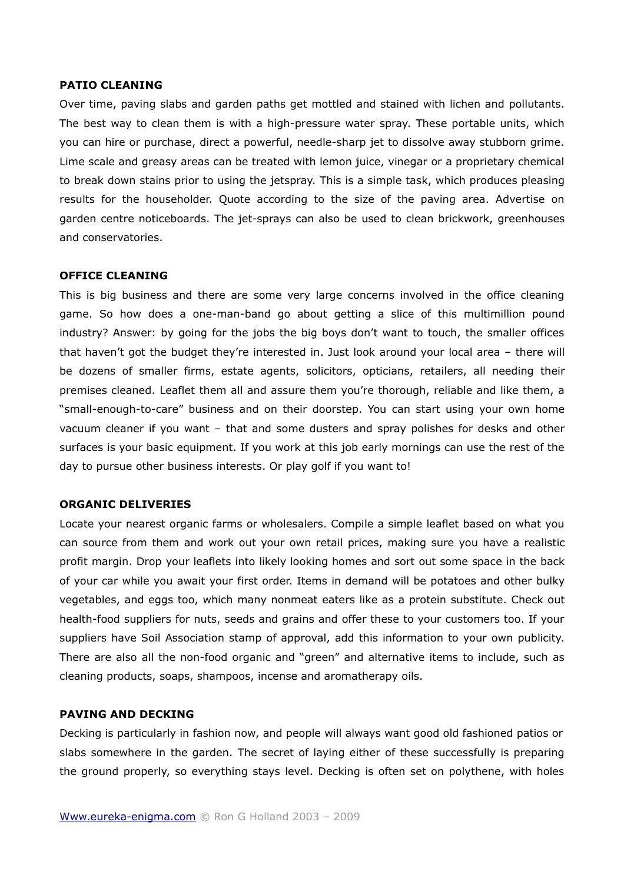#### **PATIO CLEANING**

Over time, paving slabs and garden paths get mottled and stained with lichen and pollutants. The best way to clean them is with a high-pressure water spray. These portable units, which you can hire or purchase, direct a powerful, needle-sharp jet to dissolve away stubborn grime. Lime scale and greasy areas can be treated with lemon juice, vinegar or a proprietary chemical to break down stains prior to using the jetspray. This is a simple task, which produces pleasing results for the householder. Quote according to the size of the paving area. Advertise on garden centre noticeboards. The jet-sprays can also be used to clean brickwork, greenhouses and conservatories.

# **OFFICE CLEANING**

This is big business and there are some very large concerns involved in the office cleaning game. So how does a one-man-band go about getting a slice of this multimillion pound industry? Answer: by going for the jobs the big boys don't want to touch, the smaller offices that haven't got the budget they're interested in. Just look around your local area – there will be dozens of smaller firms, estate agents, solicitors, opticians, retailers, all needing their premises cleaned. Leaflet them all and assure them you're thorough, reliable and like them, a "small-enough-to-care" business and on their doorstep. You can start using your own home vacuum cleaner if you want – that and some dusters and spray polishes for desks and other surfaces is your basic equipment. If you work at this job early mornings can use the rest of the day to pursue other business interests. Or play golf if you want to!

# **ORGANIC DELIVERIES**

Locate your nearest organic farms or wholesalers. Compile a simple leaflet based on what you can source from them and work out your own retail prices, making sure you have a realistic profit margin. Drop your leaflets into likely looking homes and sort out some space in the back of your car while you await your first order. Items in demand will be potatoes and other bulky vegetables, and eggs too, which many nonmeat eaters like as a protein substitute. Check out health-food suppliers for nuts, seeds and grains and offer these to your customers too. If your suppliers have Soil Association stamp of approval, add this information to your own publicity. There are also all the non-food organic and "green" and alternative items to include, such as cleaning products, soaps, shampoos, incense and aromatherapy oils.

# **PAVING AND DECKING**

Decking is particularly in fashion now, and people will always want good old fashioned patios or slabs somewhere in the garden. The secret of laying either of these successfully is preparing the ground properly, so everything stays level. Decking is often set on polythene, with holes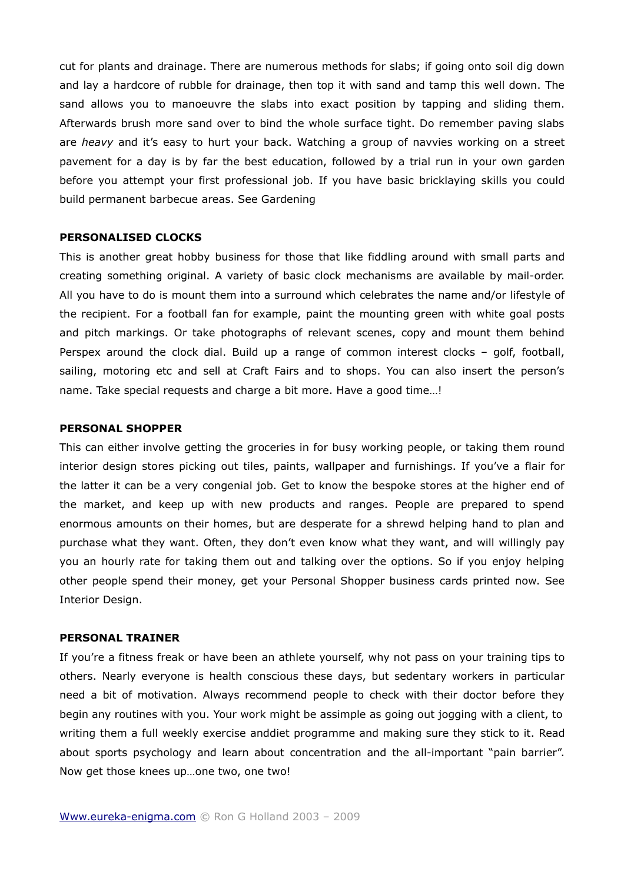cut for plants and drainage. There are numerous methods for slabs; if going onto soil dig down and lay a hardcore of rubble for drainage, then top it with sand and tamp this well down. The sand allows you to manoeuvre the slabs into exact position by tapping and sliding them. Afterwards brush more sand over to bind the whole surface tight. Do remember paving slabs are *heavy* and it's easy to hurt your back. Watching a group of navvies working on a street pavement for a day is by far the best education, followed by a trial run in your own garden before you attempt your first professional job. If you have basic bricklaying skills you could build permanent barbecue areas. See Gardening

# **PERSONALISED CLOCKS**

This is another great hobby business for those that like fiddling around with small parts and creating something original. A variety of basic clock mechanisms are available by mail-order. All you have to do is mount them into a surround which celebrates the name and/or lifestyle of the recipient. For a football fan for example, paint the mounting green with white goal posts and pitch markings. Or take photographs of relevant scenes, copy and mount them behind Perspex around the clock dial. Build up a range of common interest clocks – golf, football, sailing, motoring etc and sell at Craft Fairs and to shops. You can also insert the person's name. Take special requests and charge a bit more. Have a good time…!

# **PERSONAL SHOPPER**

This can either involve getting the groceries in for busy working people, or taking them round interior design stores picking out tiles, paints, wallpaper and furnishings. If you've a flair for the latter it can be a very congenial job. Get to know the bespoke stores at the higher end of the market, and keep up with new products and ranges. People are prepared to spend enormous amounts on their homes, but are desperate for a shrewd helping hand to plan and purchase what they want. Often, they don't even know what they want, and will willingly pay you an hourly rate for taking them out and talking over the options. So if you enjoy helping other people spend their money, get your Personal Shopper business cards printed now. See Interior Design.

### **PERSONAL TRAINER**

If you're a fitness freak or have been an athlete yourself, why not pass on your training tips to others. Nearly everyone is health conscious these days, but sedentary workers in particular need a bit of motivation. Always recommend people to check with their doctor before they begin any routines with you. Your work might be assimple as going out jogging with a client, to writing them a full weekly exercise anddiet programme and making sure they stick to it. Read about sports psychology and learn about concentration and the all-important "pain barrier". Now get those knees up…one two, one two!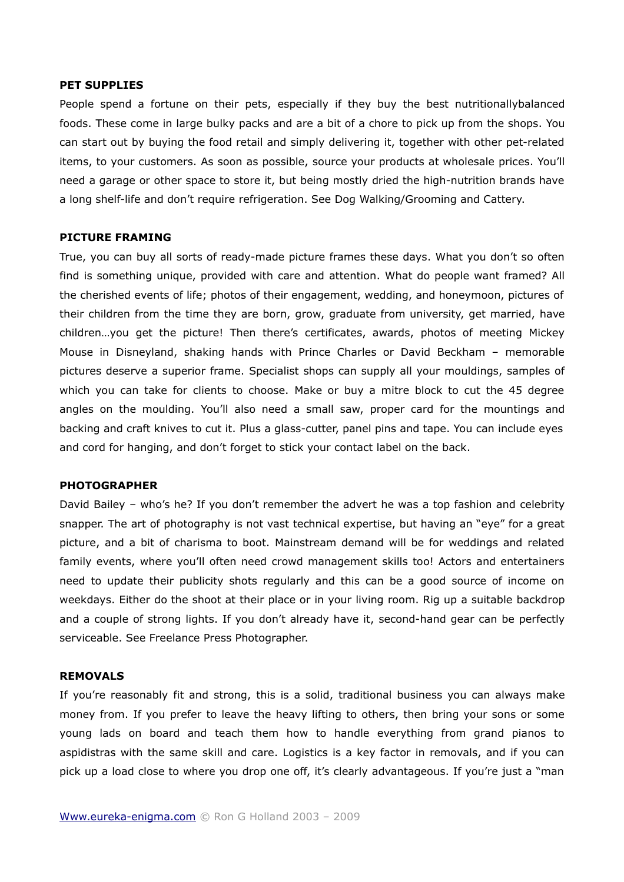#### **PET SUPPLIES**

People spend a fortune on their pets, especially if they buy the best nutritionallybalanced foods. These come in large bulky packs and are a bit of a chore to pick up from the shops. You can start out by buying the food retail and simply delivering it, together with other pet-related items, to your customers. As soon as possible, source your products at wholesale prices. You'll need a garage or other space to store it, but being mostly dried the high-nutrition brands have a long shelf-life and don't require refrigeration. See Dog Walking/Grooming and Cattery.

# **PICTURE FRAMING**

True, you can buy all sorts of ready-made picture frames these days. What you don't so often find is something unique, provided with care and attention. What do people want framed? All the cherished events of life; photos of their engagement, wedding, and honeymoon, pictures of their children from the time they are born, grow, graduate from university, get married, have children…you get the picture! Then there's certificates, awards, photos of meeting Mickey Mouse in Disneyland, shaking hands with Prince Charles or David Beckham – memorable pictures deserve a superior frame. Specialist shops can supply all your mouldings, samples of which you can take for clients to choose. Make or buy a mitre block to cut the 45 degree angles on the moulding. You'll also need a small saw, proper card for the mountings and backing and craft knives to cut it. Plus a glass-cutter, panel pins and tape. You can include eyes and cord for hanging, and don't forget to stick your contact label on the back.

#### **PHOTOGRAPHER**

David Bailey – who's he? If you don't remember the advert he was a top fashion and celebrity snapper. The art of photography is not vast technical expertise, but having an "eye" for a great picture, and a bit of charisma to boot. Mainstream demand will be for weddings and related family events, where you'll often need crowd management skills too! Actors and entertainers need to update their publicity shots regularly and this can be a good source of income on weekdays. Either do the shoot at their place or in your living room. Rig up a suitable backdrop and a couple of strong lights. If you don't already have it, second-hand gear can be perfectly serviceable. See Freelance Press Photographer.

#### **REMOVALS**

If you're reasonably fit and strong, this is a solid, traditional business you can always make money from. If you prefer to leave the heavy lifting to others, then bring your sons or some young lads on board and teach them how to handle everything from grand pianos to aspidistras with the same skill and care. Logistics is a key factor in removals, and if you can pick up a load close to where you drop one off, it's clearly advantageous. If you're just a "man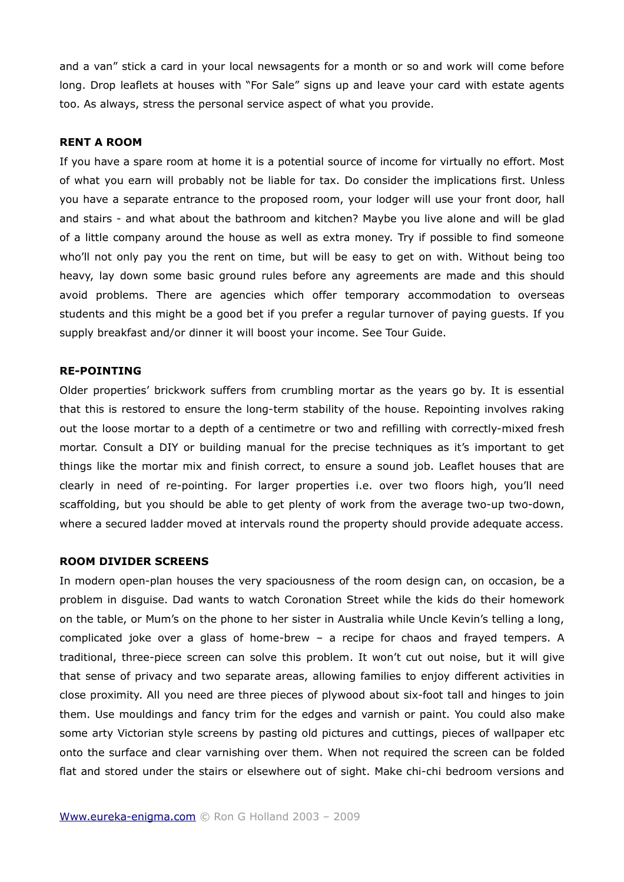and a van" stick a card in your local newsagents for a month or so and work will come before long. Drop leaflets at houses with "For Sale" signs up and leave your card with estate agents too. As always, stress the personal service aspect of what you provide.

#### **RENT A ROOM**

If you have a spare room at home it is a potential source of income for virtually no effort. Most of what you earn will probably not be liable for tax. Do consider the implications first. Unless you have a separate entrance to the proposed room, your lodger will use your front door, hall and stairs - and what about the bathroom and kitchen? Maybe you live alone and will be glad of a little company around the house as well as extra money. Try if possible to find someone who'll not only pay you the rent on time, but will be easy to get on with. Without being too heavy, lay down some basic ground rules before any agreements are made and this should avoid problems. There are agencies which offer temporary accommodation to overseas students and this might be a good bet if you prefer a regular turnover of paying guests. If you supply breakfast and/or dinner it will boost your income. See Tour Guide.

#### **RE-POINTING**

Older properties' brickwork suffers from crumbling mortar as the years go by. It is essential that this is restored to ensure the long-term stability of the house. Repointing involves raking out the loose mortar to a depth of a centimetre or two and refilling with correctly-mixed fresh mortar. Consult a DIY or building manual for the precise techniques as it's important to get things like the mortar mix and finish correct, to ensure a sound job. Leaflet houses that are clearly in need of re-pointing. For larger properties i.e. over two floors high, you'll need scaffolding, but you should be able to get plenty of work from the average two-up two-down, where a secured ladder moved at intervals round the property should provide adequate access.

#### **ROOM DIVIDER SCREENS**

In modern open-plan houses the very spaciousness of the room design can, on occasion, be a problem in disguise. Dad wants to watch Coronation Street while the kids do their homework on the table, or Mum's on the phone to her sister in Australia while Uncle Kevin's telling a long, complicated joke over a glass of home-brew – a recipe for chaos and frayed tempers. A traditional, three-piece screen can solve this problem. It won't cut out noise, but it will give that sense of privacy and two separate areas, allowing families to enjoy different activities in close proximity. All you need are three pieces of plywood about six-foot tall and hinges to join them. Use mouldings and fancy trim for the edges and varnish or paint. You could also make some arty Victorian style screens by pasting old pictures and cuttings, pieces of wallpaper etc onto the surface and clear varnishing over them. When not required the screen can be folded flat and stored under the stairs or elsewhere out of sight. Make chi-chi bedroom versions and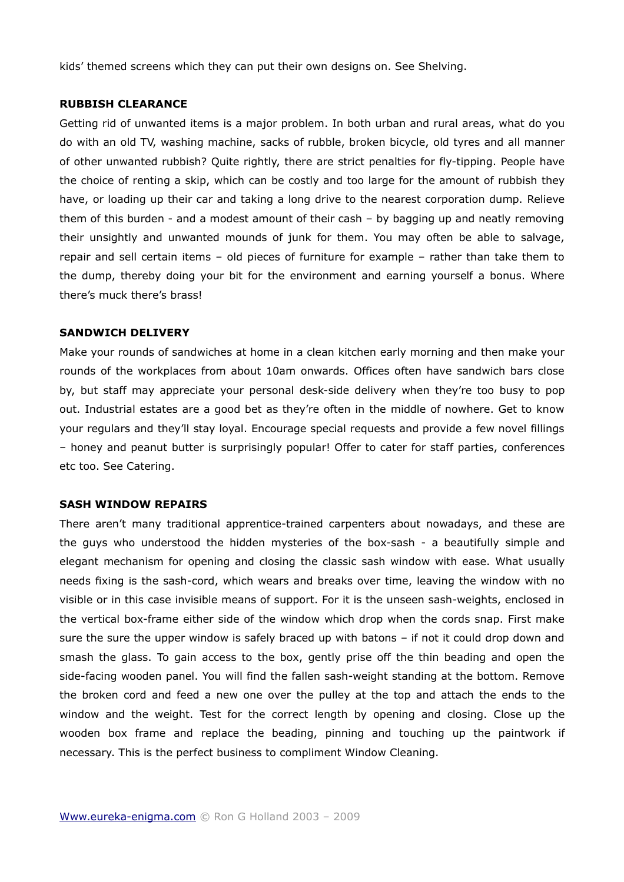kids' themed screens which they can put their own designs on. See Shelving.

#### **RUBBISH CLEARANCE**

Getting rid of unwanted items is a major problem. In both urban and rural areas, what do you do with an old TV, washing machine, sacks of rubble, broken bicycle, old tyres and all manner of other unwanted rubbish? Quite rightly, there are strict penalties for fly-tipping. People have the choice of renting a skip, which can be costly and too large for the amount of rubbish they have, or loading up their car and taking a long drive to the nearest corporation dump. Relieve them of this burden - and a modest amount of their cash – by bagging up and neatly removing their unsightly and unwanted mounds of junk for them. You may often be able to salvage, repair and sell certain items – old pieces of furniture for example – rather than take them to the dump, thereby doing your bit for the environment and earning yourself a bonus. Where there's muck there's brass!

# **SANDWICH DELIVERY**

Make your rounds of sandwiches at home in a clean kitchen early morning and then make your rounds of the workplaces from about 10am onwards. Offices often have sandwich bars close by, but staff may appreciate your personal desk-side delivery when they're too busy to pop out. Industrial estates are a good bet as they're often in the middle of nowhere. Get to know your regulars and they'll stay loyal. Encourage special requests and provide a few novel fillings – honey and peanut butter is surprisingly popular! Offer to cater for staff parties, conferences etc too. See Catering.

# **SASH WINDOW REPAIRS**

There aren't many traditional apprentice-trained carpenters about nowadays, and these are the guys who understood the hidden mysteries of the box-sash - a beautifully simple and elegant mechanism for opening and closing the classic sash window with ease. What usually needs fixing is the sash-cord, which wears and breaks over time, leaving the window with no visible or in this case invisible means of support. For it is the unseen sash-weights, enclosed in the vertical box-frame either side of the window which drop when the cords snap. First make sure the sure the upper window is safely braced up with batons – if not it could drop down and smash the glass. To gain access to the box, gently prise off the thin beading and open the side-facing wooden panel. You will find the fallen sash-weight standing at the bottom. Remove the broken cord and feed a new one over the pulley at the top and attach the ends to the window and the weight. Test for the correct length by opening and closing. Close up the wooden box frame and replace the beading, pinning and touching up the paintwork if necessary. This is the perfect business to compliment Window Cleaning.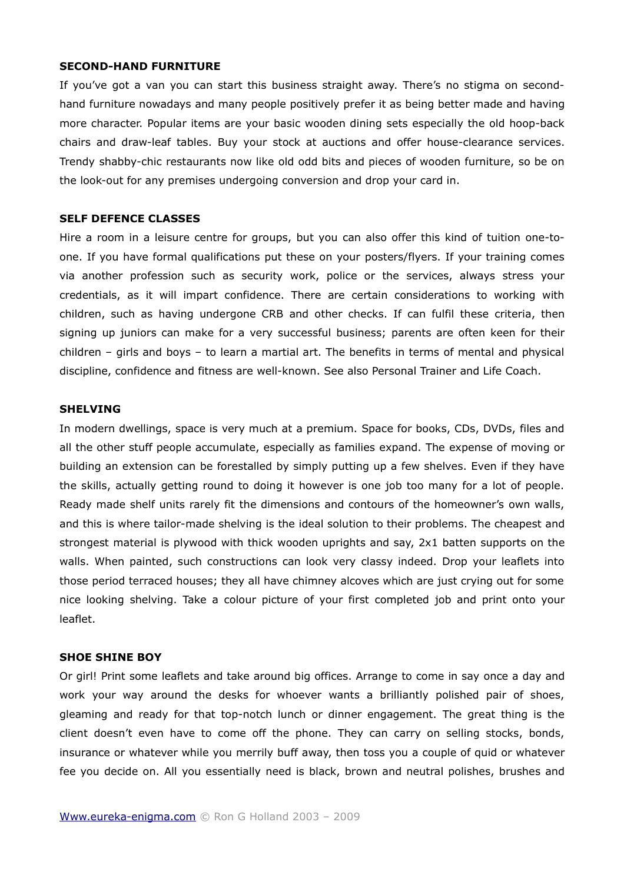### **SECOND-HAND FURNITURE**

If you've got a van you can start this business straight away. There's no stigma on secondhand furniture nowadays and many people positively prefer it as being better made and having more character. Popular items are your basic wooden dining sets especially the old hoop-back chairs and draw-leaf tables. Buy your stock at auctions and offer house-clearance services. Trendy shabby-chic restaurants now like old odd bits and pieces of wooden furniture, so be on the look-out for any premises undergoing conversion and drop your card in.

#### **SELF DEFENCE CLASSES**

Hire a room in a leisure centre for groups, but you can also offer this kind of tuition one-toone. If you have formal qualifications put these on your posters/flyers. If your training comes via another profession such as security work, police or the services, always stress your credentials, as it will impart confidence. There are certain considerations to working with children, such as having undergone CRB and other checks. If can fulfil these criteria, then signing up juniors can make for a very successful business; parents are often keen for their children – girls and boys – to learn a martial art. The benefits in terms of mental and physical discipline, confidence and fitness are well-known. See also Personal Trainer and Life Coach.

# **SHELVING**

In modern dwellings, space is very much at a premium. Space for books, CDs, DVDs, files and all the other stuff people accumulate, especially as families expand. The expense of moving or building an extension can be forestalled by simply putting up a few shelves. Even if they have the skills, actually getting round to doing it however is one job too many for a lot of people. Ready made shelf units rarely fit the dimensions and contours of the homeowner's own walls, and this is where tailor-made shelving is the ideal solution to their problems. The cheapest and strongest material is plywood with thick wooden uprights and say, 2x1 batten supports on the walls. When painted, such constructions can look very classy indeed. Drop your leaflets into those period terraced houses; they all have chimney alcoves which are just crying out for some nice looking shelving. Take a colour picture of your first completed job and print onto your leaflet.

#### **SHOE SHINE BOY**

Or girl! Print some leaflets and take around big offices. Arrange to come in say once a day and work your way around the desks for whoever wants a brilliantly polished pair of shoes, gleaming and ready for that top-notch lunch or dinner engagement. The great thing is the client doesn't even have to come off the phone. They can carry on selling stocks, bonds, insurance or whatever while you merrily buff away, then toss you a couple of quid or whatever fee you decide on. All you essentially need is black, brown and neutral polishes, brushes and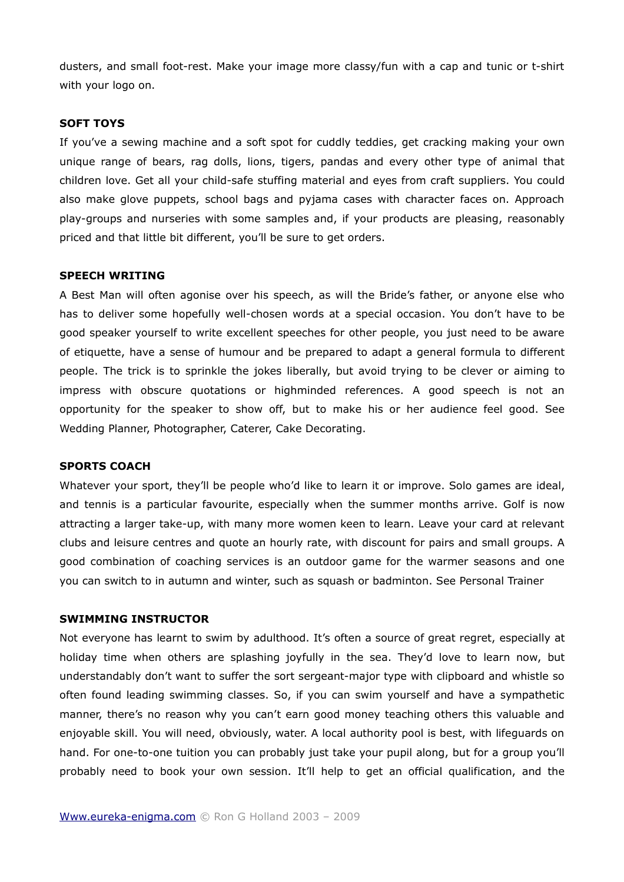dusters, and small foot-rest. Make your image more classy/fun with a cap and tunic or t-shirt with your logo on.

# **SOFT TOYS**

If you've a sewing machine and a soft spot for cuddly teddies, get cracking making your own unique range of bears, rag dolls, lions, tigers, pandas and every other type of animal that children love. Get all your child-safe stuffing material and eyes from craft suppliers. You could also make glove puppets, school bags and pyjama cases with character faces on. Approach play-groups and nurseries with some samples and, if your products are pleasing, reasonably priced and that little bit different, you'll be sure to get orders.

# **SPEECH WRITING**

A Best Man will often agonise over his speech, as will the Bride's father, or anyone else who has to deliver some hopefully well-chosen words at a special occasion. You don't have to be good speaker yourself to write excellent speeches for other people, you just need to be aware of etiquette, have a sense of humour and be prepared to adapt a general formula to different people. The trick is to sprinkle the jokes liberally, but avoid trying to be clever or aiming to impress with obscure quotations or highminded references. A good speech is not an opportunity for the speaker to show off, but to make his or her audience feel good. See Wedding Planner, Photographer, Caterer, Cake Decorating.

# **SPORTS COACH**

Whatever your sport, they'll be people who'd like to learn it or improve. Solo games are ideal, and tennis is a particular favourite, especially when the summer months arrive. Golf is now attracting a larger take-up, with many more women keen to learn. Leave your card at relevant clubs and leisure centres and quote an hourly rate, with discount for pairs and small groups. A good combination of coaching services is an outdoor game for the warmer seasons and one you can switch to in autumn and winter, such as squash or badminton. See Personal Trainer

#### **SWIMMING INSTRUCTOR**

Not everyone has learnt to swim by adulthood. It's often a source of great regret, especially at holiday time when others are splashing joyfully in the sea. They'd love to learn now, but understandably don't want to suffer the sort sergeant-major type with clipboard and whistle so often found leading swimming classes. So, if you can swim yourself and have a sympathetic manner, there's no reason why you can't earn good money teaching others this valuable and enjoyable skill. You will need, obviously, water. A local authority pool is best, with lifeguards on hand. For one-to-one tuition you can probably just take your pupil along, but for a group you'll probably need to book your own session. It'll help to get an official qualification, and the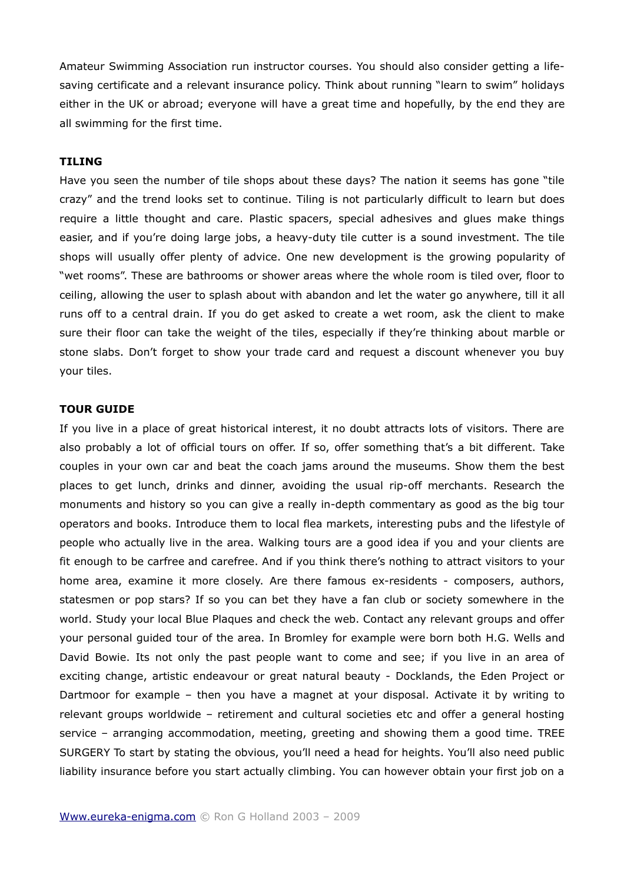Amateur Swimming Association run instructor courses. You should also consider getting a lifesaving certificate and a relevant insurance policy. Think about running "learn to swim" holidays either in the UK or abroad; everyone will have a great time and hopefully, by the end they are all swimming for the first time.

#### **TILING**

Have you seen the number of tile shops about these days? The nation it seems has gone "tile crazy" and the trend looks set to continue. Tiling is not particularly difficult to learn but does require a little thought and care. Plastic spacers, special adhesives and glues make things easier, and if you're doing large jobs, a heavy-duty tile cutter is a sound investment. The tile shops will usually offer plenty of advice. One new development is the growing popularity of "wet rooms". These are bathrooms or shower areas where the whole room is tiled over, floor to ceiling, allowing the user to splash about with abandon and let the water go anywhere, till it all runs off to a central drain. If you do get asked to create a wet room, ask the client to make sure their floor can take the weight of the tiles, especially if they're thinking about marble or stone slabs. Don't forget to show your trade card and request a discount whenever you buy your tiles.

# **TOUR GUIDE**

If you live in a place of great historical interest, it no doubt attracts lots of visitors. There are also probably a lot of official tours on offer. If so, offer something that's a bit different. Take couples in your own car and beat the coach jams around the museums. Show them the best places to get lunch, drinks and dinner, avoiding the usual rip-off merchants. Research the monuments and history so you can give a really in-depth commentary as good as the big tour operators and books. Introduce them to local flea markets, interesting pubs and the lifestyle of people who actually live in the area. Walking tours are a good idea if you and your clients are fit enough to be carfree and carefree. And if you think there's nothing to attract visitors to your home area, examine it more closely. Are there famous ex-residents - composers, authors, statesmen or pop stars? If so you can bet they have a fan club or society somewhere in the world. Study your local Blue Plaques and check the web. Contact any relevant groups and offer your personal guided tour of the area. In Bromley for example were born both H.G. Wells and David Bowie. Its not only the past people want to come and see; if you live in an area of exciting change, artistic endeavour or great natural beauty - Docklands, the Eden Project or Dartmoor for example – then you have a magnet at your disposal. Activate it by writing to relevant groups worldwide – retirement and cultural societies etc and offer a general hosting service – arranging accommodation, meeting, greeting and showing them a good time. TREE SURGERY To start by stating the obvious, you'll need a head for heights. You'll also need public liability insurance before you start actually climbing. You can however obtain your first job on a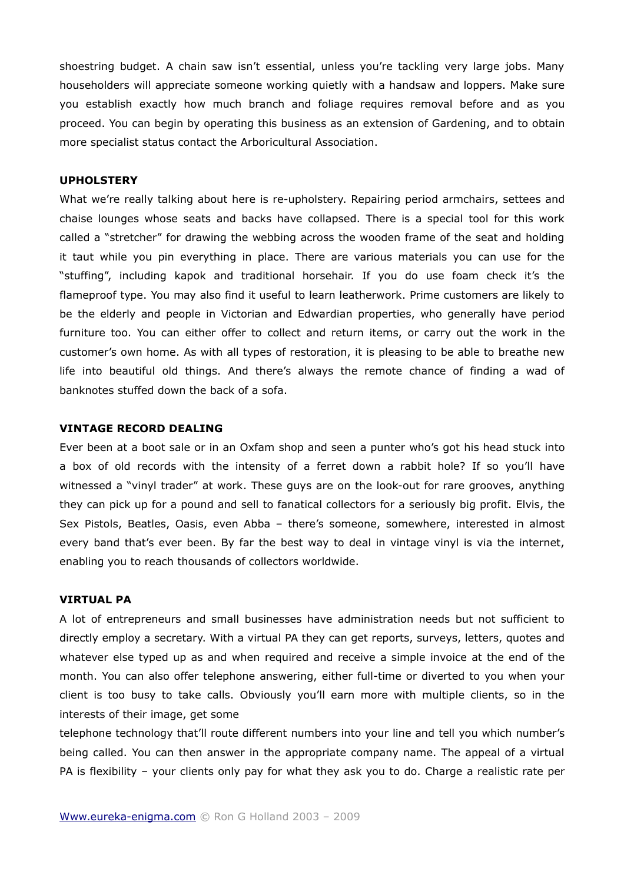shoestring budget. A chain saw isn't essential, unless you're tackling very large jobs. Many householders will appreciate someone working quietly with a handsaw and loppers. Make sure you establish exactly how much branch and foliage requires removal before and as you proceed. You can begin by operating this business as an extension of Gardening, and to obtain more specialist status contact the Arboricultural Association.

# **UPHOLSTERY**

What we're really talking about here is re-upholstery. Repairing period armchairs, settees and chaise lounges whose seats and backs have collapsed. There is a special tool for this work called a "stretcher" for drawing the webbing across the wooden frame of the seat and holding it taut while you pin everything in place. There are various materials you can use for the "stuffing", including kapok and traditional horsehair. If you do use foam check it's the flameproof type. You may also find it useful to learn leatherwork. Prime customers are likely to be the elderly and people in Victorian and Edwardian properties, who generally have period furniture too. You can either offer to collect and return items, or carry out the work in the customer's own home. As with all types of restoration, it is pleasing to be able to breathe new life into beautiful old things. And there's always the remote chance of finding a wad of banknotes stuffed down the back of a sofa.

# **VINTAGE RECORD DEALING**

Ever been at a boot sale or in an Oxfam shop and seen a punter who's got his head stuck into a box of old records with the intensity of a ferret down a rabbit hole? If so you'll have witnessed a "vinyl trader" at work. These guys are on the look-out for rare grooves, anything they can pick up for a pound and sell to fanatical collectors for a seriously big profit. Elvis, the Sex Pistols, Beatles, Oasis, even Abba – there's someone, somewhere, interested in almost every band that's ever been. By far the best way to deal in vintage vinyl is via the internet, enabling you to reach thousands of collectors worldwide.

#### **VIRTUAL PA**

A lot of entrepreneurs and small businesses have administration needs but not sufficient to directly employ a secretary. With a virtual PA they can get reports, surveys, letters, quotes and whatever else typed up as and when required and receive a simple invoice at the end of the month. You can also offer telephone answering, either full-time or diverted to you when your client is too busy to take calls. Obviously you'll earn more with multiple clients, so in the interests of their image, get some

telephone technology that'll route different numbers into your line and tell you which number's being called. You can then answer in the appropriate company name. The appeal of a virtual PA is flexibility – your clients only pay for what they ask you to do. Charge a realistic rate per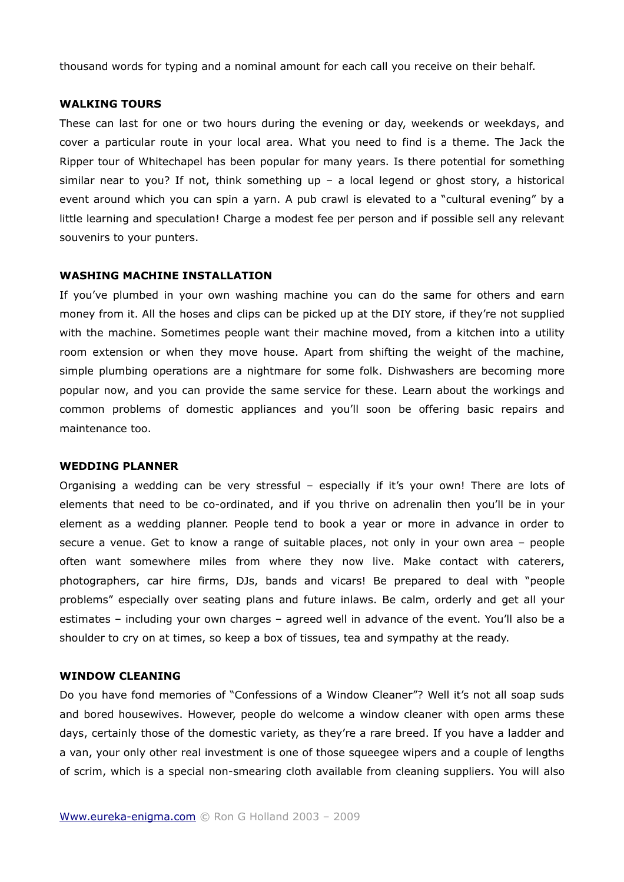thousand words for typing and a nominal amount for each call you receive on their behalf.

#### **WALKING TOURS**

These can last for one or two hours during the evening or day, weekends or weekdays, and cover a particular route in your local area. What you need to find is a theme. The Jack the Ripper tour of Whitechapel has been popular for many years. Is there potential for something similar near to you? If not, think something up  $-$  a local legend or ghost story, a historical event around which you can spin a yarn. A pub crawl is elevated to a "cultural evening" by a little learning and speculation! Charge a modest fee per person and if possible sell any relevant souvenirs to your punters.

#### **WASHING MACHINE INSTALLATION**

If you've plumbed in your own washing machine you can do the same for others and earn money from it. All the hoses and clips can be picked up at the DIY store, if they're not supplied with the machine. Sometimes people want their machine moved, from a kitchen into a utility room extension or when they move house. Apart from shifting the weight of the machine, simple plumbing operations are a nightmare for some folk. Dishwashers are becoming more popular now, and you can provide the same service for these. Learn about the workings and common problems of domestic appliances and you'll soon be offering basic repairs and maintenance too.

# **WEDDING PLANNER**

Organising a wedding can be very stressful – especially if it's your own! There are lots of elements that need to be co-ordinated, and if you thrive on adrenalin then you'll be in your element as a wedding planner. People tend to book a year or more in advance in order to secure a venue. Get to know a range of suitable places, not only in your own area – people often want somewhere miles from where they now live. Make contact with caterers, photographers, car hire firms, DJs, bands and vicars! Be prepared to deal with "people problems" especially over seating plans and future inlaws. Be calm, orderly and get all your estimates – including your own charges – agreed well in advance of the event. You'll also be a shoulder to cry on at times, so keep a box of tissues, tea and sympathy at the ready.

#### **WINDOW CLEANING**

Do you have fond memories of "Confessions of a Window Cleaner"? Well it's not all soap suds and bored housewives. However, people do welcome a window cleaner with open arms these days, certainly those of the domestic variety, as they're a rare breed. If you have a ladder and a van, your only other real investment is one of those squeegee wipers and a couple of lengths of scrim, which is a special non-smearing cloth available from cleaning suppliers. You will also